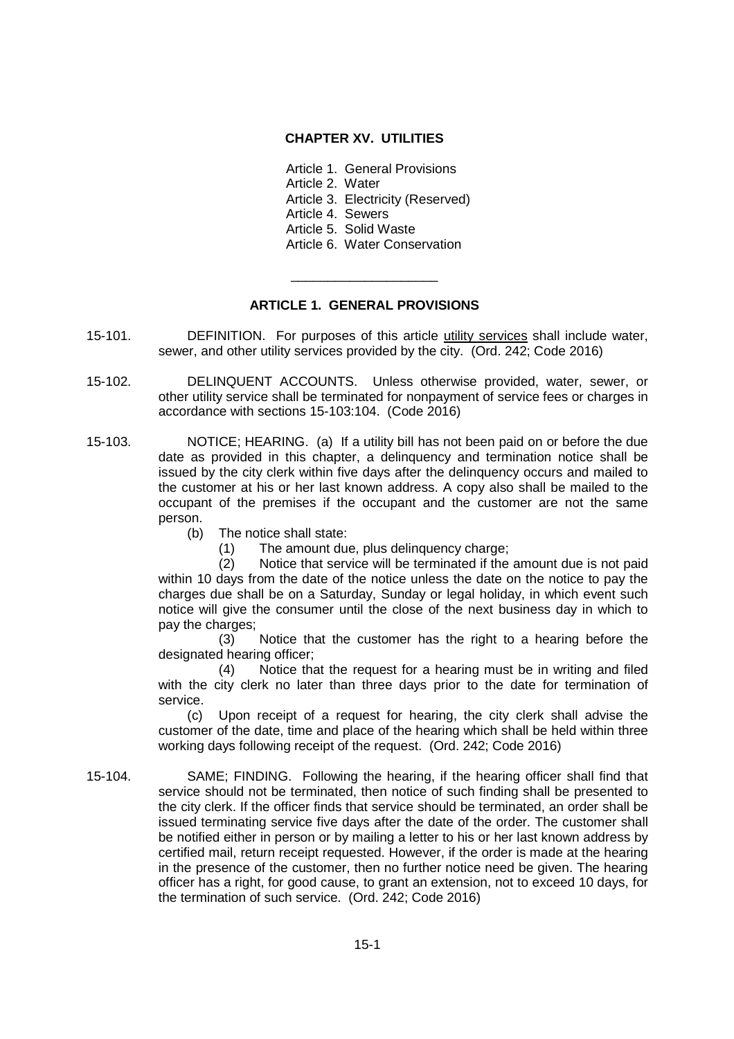# **CHAPTER XV. UTILITIES**

Article 1. General Provisions

Article 2. Water

Article 3. Electricity (Reserved)

Article 4. Sewers

Article 5. Solid Waste

Article 6. Water Conservation

# **ARTICLE 1. GENERAL PROVISIONS**

\_\_\_\_\_\_\_\_\_\_\_\_\_\_\_\_\_\_\_\_

- 15-101. DEFINITION. For purposes of this article utility services shall include water, sewer, and other utility services provided by the city. (Ord. 242; Code 2016)
- 15-102. DELINQUENT ACCOUNTS. Unless otherwise provided, water, sewer, or other utility service shall be terminated for nonpayment of service fees or charges in accordance with sections 15-103:104. (Code 2016)
- 15-103. NOTICE; HEARING. (a) If a utility bill has not been paid on or before the due date as provided in this chapter, a delinquency and termination notice shall be issued by the city clerk within five days after the delinquency occurs and mailed to the customer at his or her last known address. A copy also shall be mailed to the occupant of the premises if the occupant and the customer are not the same person.
	- (b) The notice shall state:
		- (1) The amount due, plus delinquency charge;

(2) Notice that service will be terminated if the amount due is not paid within 10 days from the date of the notice unless the date on the notice to pay the charges due shall be on a Saturday, Sunday or legal holiday, in which event such notice will give the consumer until the close of the next business day in which to pay the charges;

(3) Notice that the customer has the right to a hearing before the designated hearing officer;

(4) Notice that the request for a hearing must be in writing and filed with the city clerk no later than three days prior to the date for termination of service.

(c) Upon receipt of a request for hearing, the city clerk shall advise the customer of the date, time and place of the hearing which shall be held within three working days following receipt of the request. (Ord. 242; Code 2016)

15-104. SAME; FINDING. Following the hearing, if the hearing officer shall find that service should not be terminated, then notice of such finding shall be presented to the city clerk. If the officer finds that service should be terminated, an order shall be issued terminating service five days after the date of the order. The customer shall be notified either in person or by mailing a letter to his or her last known address by certified mail, return receipt requested. However, if the order is made at the hearing in the presence of the customer, then no further notice need be given. The hearing officer has a right, for good cause, to grant an extension, not to exceed 10 days, for the termination of such service. (Ord. 242; Code 2016)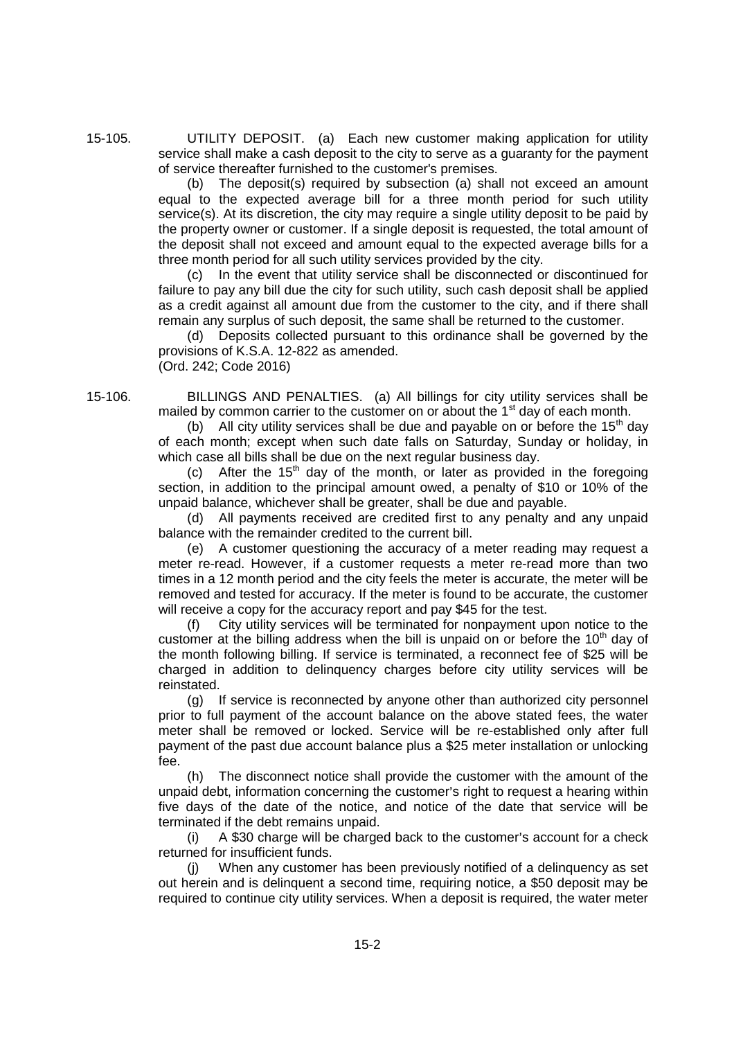15-105. UTILITY DEPOSIT. (a) Each new customer making application for utility service shall make a cash deposit to the city to serve as a guaranty for the payment of service thereafter furnished to the customer's premises.

> (b) The deposit(s) required by subsection (a) shall not exceed an amount equal to the expected average bill for a three month period for such utility service(s). At its discretion, the city may require a single utility deposit to be paid by the property owner or customer. If a single deposit is requested, the total amount of the deposit shall not exceed and amount equal to the expected average bills for a three month period for all such utility services provided by the city.

> (c) In the event that utility service shall be disconnected or discontinued for failure to pay any bill due the city for such utility, such cash deposit shall be applied as a credit against all amount due from the customer to the city, and if there shall remain any surplus of such deposit, the same shall be returned to the customer.

> (d) Deposits collected pursuant to this ordinance shall be governed by the provisions of K.S.A. 12-822 as amended. (Ord. 242; Code 2016)

15-106. BILLINGS AND PENALTIES. (a) All billings for city utility services shall be mailed by common carrier to the customer on or about the  $1<sup>st</sup>$  day of each month.

(b) All city utility services shall be due and payable on or before the 15<sup>th</sup> day of each month; except when such date falls on Saturday, Sunday or holiday, in which case all bills shall be due on the next regular business day.

(c) After the  $15<sup>th</sup>$  day of the month, or later as provided in the foregoing section, in addition to the principal amount owed, a penalty of \$10 or 10% of the unpaid balance, whichever shall be greater, shall be due and payable.

(d) All payments received are credited first to any penalty and any unpaid balance with the remainder credited to the current bill.

(e) A customer questioning the accuracy of a meter reading may request a meter re-read. However, if a customer requests a meter re-read more than two times in a 12 month period and the city feels the meter is accurate, the meter will be removed and tested for accuracy. If the meter is found to be accurate, the customer will receive a copy for the accuracy report and pay \$45 for the test.

(f) City utility services will be terminated for nonpayment upon notice to the customer at the billing address when the bill is unpaid on or before the  $10<sup>th</sup>$  day of the month following billing. If service is terminated, a reconnect fee of \$25 will be charged in addition to delinquency charges before city utility services will be reinstated.

(g) If service is reconnected by anyone other than authorized city personnel prior to full payment of the account balance on the above stated fees, the water meter shall be removed or locked. Service will be re-established only after full payment of the past due account balance plus a \$25 meter installation or unlocking fee.

(h) The disconnect notice shall provide the customer with the amount of the unpaid debt, information concerning the customer's right to request a hearing within five days of the date of the notice, and notice of the date that service will be terminated if the debt remains unpaid.

(i)  $\overline{A}$  \$30 charge will be charged back to the customer's account for a check returned for insufficient funds.

(j) When any customer has been previously notified of a delinquency as set out herein and is delinquent a second time, requiring notice, a \$50 deposit may be required to continue city utility services. When a deposit is required, the water meter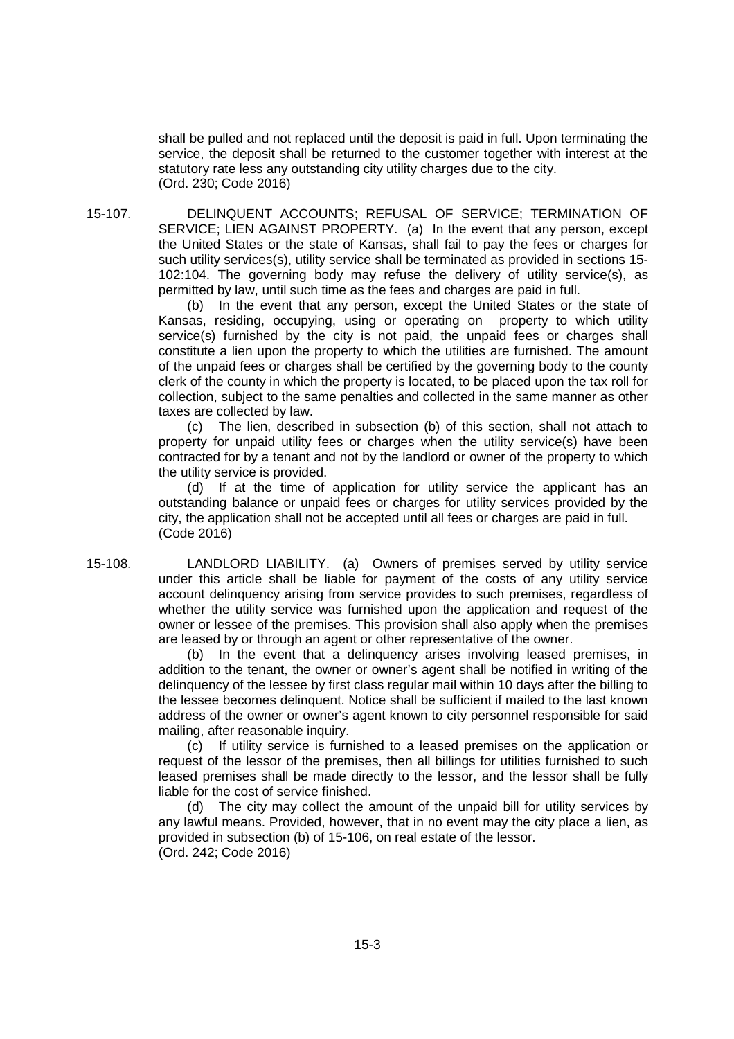shall be pulled and not replaced until the deposit is paid in full. Upon terminating the service, the deposit shall be returned to the customer together with interest at the statutory rate less any outstanding city utility charges due to the city. (Ord. 230; Code 2016)

15-107. DELINQUENT ACCOUNTS; REFUSAL OF SERVICE; TERMINATION OF SERVICE; LIEN AGAINST PROPERTY. (a) In the event that any person, except the United States or the state of Kansas, shall fail to pay the fees or charges for such utility services(s), utility service shall be terminated as provided in sections 15- 102:104. The governing body may refuse the delivery of utility service(s), as permitted by law, until such time as the fees and charges are paid in full.

> (b) In the event that any person, except the United States or the state of Kansas, residing, occupying, using or operating on property to which utility service(s) furnished by the city is not paid, the unpaid fees or charges shall constitute a lien upon the property to which the utilities are furnished. The amount of the unpaid fees or charges shall be certified by the governing body to the county clerk of the county in which the property is located, to be placed upon the tax roll for collection, subject to the same penalties and collected in the same manner as other taxes are collected by law.

> (c) The lien, described in subsection (b) of this section, shall not attach to property for unpaid utility fees or charges when the utility service(s) have been contracted for by a tenant and not by the landlord or owner of the property to which the utility service is provided.

> (d) If at the time of application for utility service the applicant has an outstanding balance or unpaid fees or charges for utility services provided by the city, the application shall not be accepted until all fees or charges are paid in full. (Code 2016)

15-108. LANDLORD LIABILITY. (a) Owners of premises served by utility service under this article shall be liable for payment of the costs of any utility service account delinquency arising from service provides to such premises, regardless of whether the utility service was furnished upon the application and request of the owner or lessee of the premises. This provision shall also apply when the premises are leased by or through an agent or other representative of the owner.

> (b) In the event that a delinquency arises involving leased premises, in addition to the tenant, the owner or owner's agent shall be notified in writing of the delinquency of the lessee by first class regular mail within 10 days after the billing to the lessee becomes delinquent. Notice shall be sufficient if mailed to the last known address of the owner or owner's agent known to city personnel responsible for said mailing, after reasonable inquiry.

> (c) If utility service is furnished to a leased premises on the application or request of the lessor of the premises, then all billings for utilities furnished to such leased premises shall be made directly to the lessor, and the lessor shall be fully liable for the cost of service finished.

> (d) The city may collect the amount of the unpaid bill for utility services by any lawful means. Provided, however, that in no event may the city place a lien, as provided in subsection (b) of 15-106, on real estate of the lessor. (Ord. 242; Code 2016)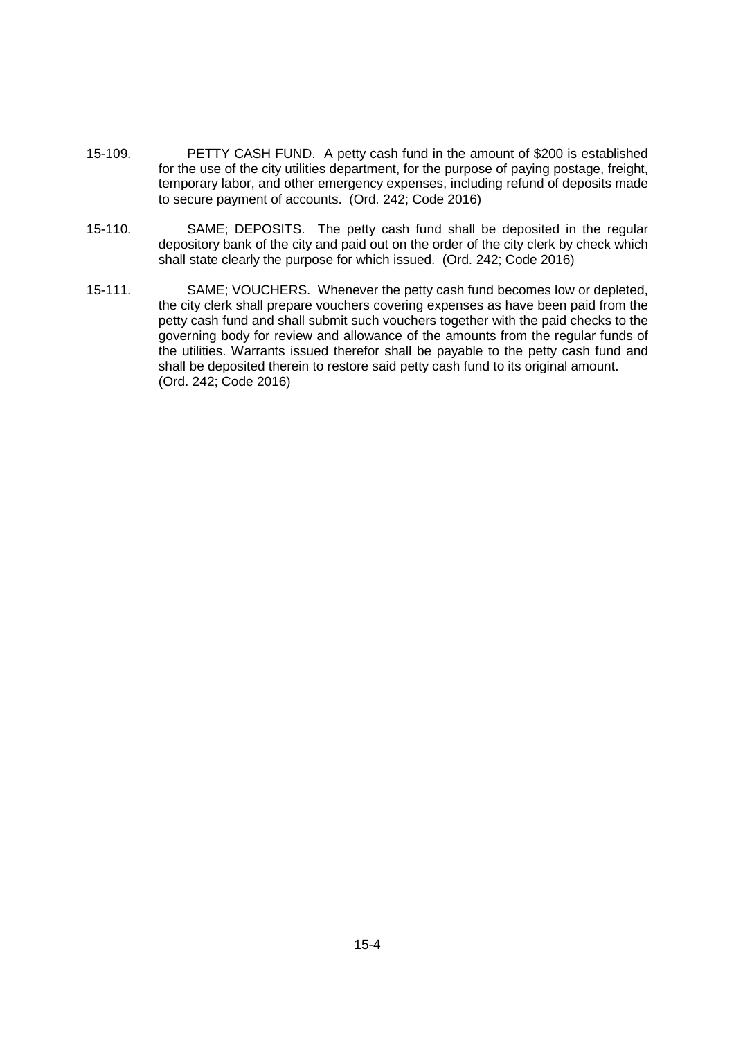- 15-109. PETTY CASH FUND. A petty cash fund in the amount of \$200 is established for the use of the city utilities department, for the purpose of paying postage, freight, temporary labor, and other emergency expenses, including refund of deposits made to secure payment of accounts. (Ord. 242; Code 2016)
- 15-110. SAME; DEPOSITS. The petty cash fund shall be deposited in the regular depository bank of the city and paid out on the order of the city clerk by check which shall state clearly the purpose for which issued. (Ord. 242; Code 2016)
- 15-111. SAME; VOUCHERS. Whenever the petty cash fund becomes low or depleted, the city clerk shall prepare vouchers covering expenses as have been paid from the petty cash fund and shall submit such vouchers together with the paid checks to the governing body for review and allowance of the amounts from the regular funds of the utilities. Warrants issued therefor shall be payable to the petty cash fund and shall be deposited therein to restore said petty cash fund to its original amount. (Ord. 242; Code 2016)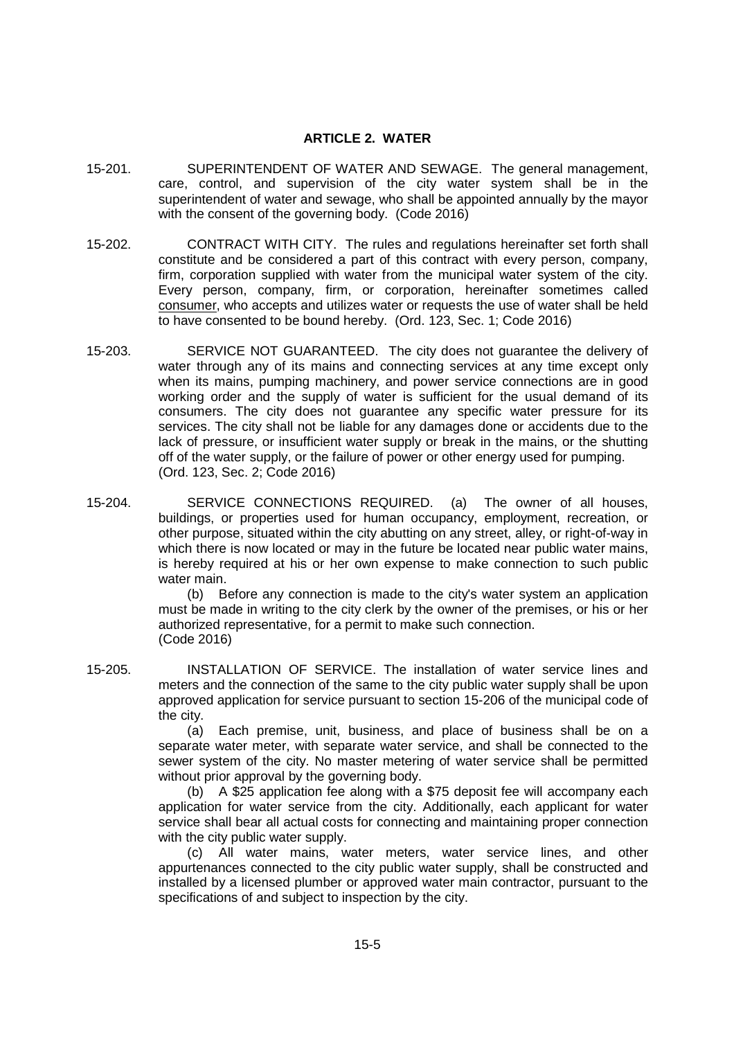#### **ARTICLE 2. WATER**

- 15-201. SUPERINTENDENT OF WATER AND SEWAGE. The general management, care, control, and supervision of the city water system shall be in the superintendent of water and sewage, who shall be appointed annually by the mayor with the consent of the governing body. (Code 2016)
- 15-202. CONTRACT WITH CITY. The rules and regulations hereinafter set forth shall constitute and be considered a part of this contract with every person, company, firm, corporation supplied with water from the municipal water system of the city. Every person, company, firm, or corporation, hereinafter sometimes called consumer, who accepts and utilizes water or requests the use of water shall be held to have consented to be bound hereby. (Ord. 123, Sec. 1; Code 2016)
- 15-203. SERVICE NOT GUARANTEED. The city does not guarantee the delivery of water through any of its mains and connecting services at any time except only when its mains, pumping machinery, and power service connections are in good working order and the supply of water is sufficient for the usual demand of its consumers. The city does not guarantee any specific water pressure for its services. The city shall not be liable for any damages done or accidents due to the lack of pressure, or insufficient water supply or break in the mains, or the shutting off of the water supply, or the failure of power or other energy used for pumping. (Ord. 123, Sec. 2; Code 2016)
- 15-204. SERVICE CONNECTIONS REQUIRED. (a) The owner of all houses, buildings, or properties used for human occupancy, employment, recreation, or other purpose, situated within the city abutting on any street, alley, or right-of-way in which there is now located or may in the future be located near public water mains, is hereby required at his or her own expense to make connection to such public water main.

(b) Before any connection is made to the city's water system an application must be made in writing to the city clerk by the owner of the premises, or his or her authorized representative, for a permit to make such connection. (Code 2016)

15-205. INSTALLATION OF SERVICE. The installation of water service lines and meters and the connection of the same to the city public water supply shall be upon approved application for service pursuant to section 15-206 of the municipal code of the city.

(a) Each premise, unit, business, and place of business shall be on a separate water meter, with separate water service, and shall be connected to the sewer system of the city. No master metering of water service shall be permitted without prior approval by the governing body.

(b) A \$25 application fee along with a \$75 deposit fee will accompany each application for water service from the city. Additionally, each applicant for water service shall bear all actual costs for connecting and maintaining proper connection with the city public water supply.

(c) All water mains, water meters, water service lines, and other appurtenances connected to the city public water supply, shall be constructed and installed by a licensed plumber or approved water main contractor, pursuant to the specifications of and subject to inspection by the city.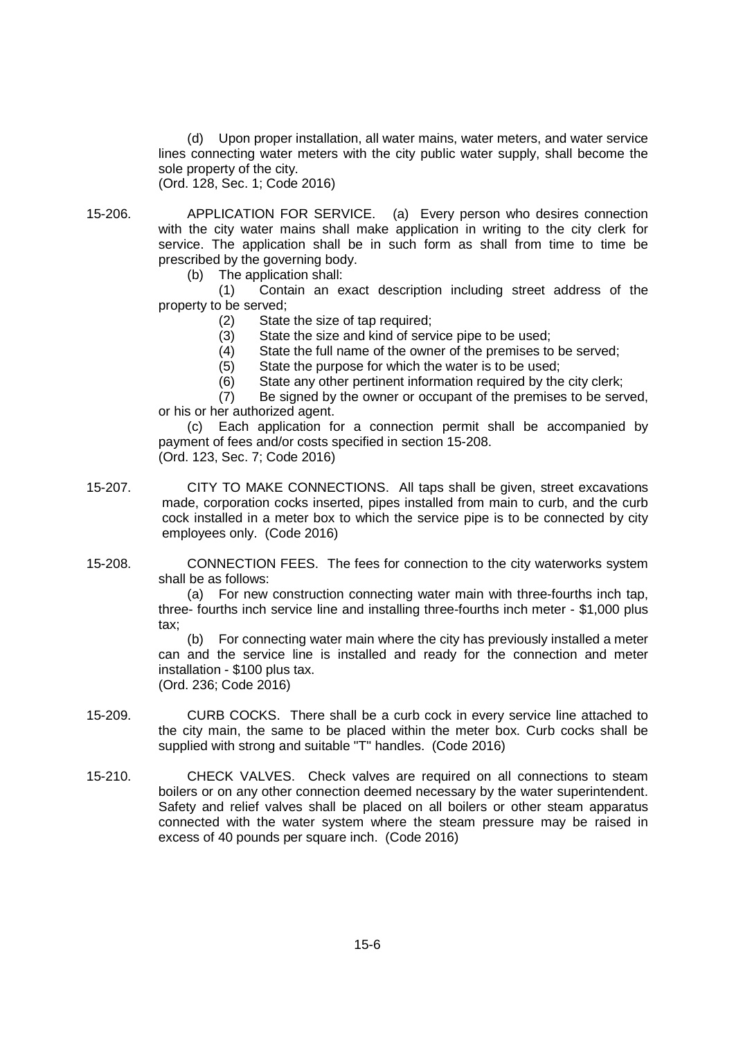(d) Upon proper installation, all water mains, water meters, and water service lines connecting water meters with the city public water supply, shall become the sole property of the city.

(Ord. 128, Sec. 1; Code 2016)

15-206. APPLICATION FOR SERVICE. (a) Every person who desires connection with the city water mains shall make application in writing to the city clerk for service. The application shall be in such form as shall from time to time be prescribed by the governing body.

(b) The application shall:

(1) Contain an exact description including street address of the property to be served;

- (2) State the size of tap required;
- (3) State the size and kind of service pipe to be used;
- (4) State the full name of the owner of the premises to be served;
- (5) State the purpose for which the water is to be used;
- (6) State any other pertinent information required by the city clerk;

(7) Be signed by the owner or occupant of the premises to be served, or his or her authorized agent.

(c) Each application for a connection permit shall be accompanied by payment of fees and/or costs specified in section 15-208.

- (Ord. 123, Sec. 7; Code 2016)
- 15-207. CITY TO MAKE CONNECTIONS. All taps shall be given, street excavations made, corporation cocks inserted, pipes installed from main to curb, and the curb cock installed in a meter box to which the service pipe is to be connected by city employees only. (Code 2016)

15-208. CONNECTION FEES. The fees for connection to the city waterworks system shall be as follows:

(a) For new construction connecting water main with three-fourths inch tap, three- fourths inch service line and installing three-fourths inch meter - \$1,000 plus tax;

(b) For connecting water main where the city has previously installed a meter can and the service line is installed and ready for the connection and meter installation - \$100 plus tax. (Ord. 236; Code 2016)

- 15-209. CURB COCKS. There shall be a curb cock in every service line attached to the city main, the same to be placed within the meter box. Curb cocks shall be supplied with strong and suitable "T" handles. (Code 2016)
- 15-210. CHECK VALVES. Check valves are required on all connections to steam boilers or on any other connection deemed necessary by the water superintendent. Safety and relief valves shall be placed on all boilers or other steam apparatus connected with the water system where the steam pressure may be raised in excess of 40 pounds per square inch. (Code 2016)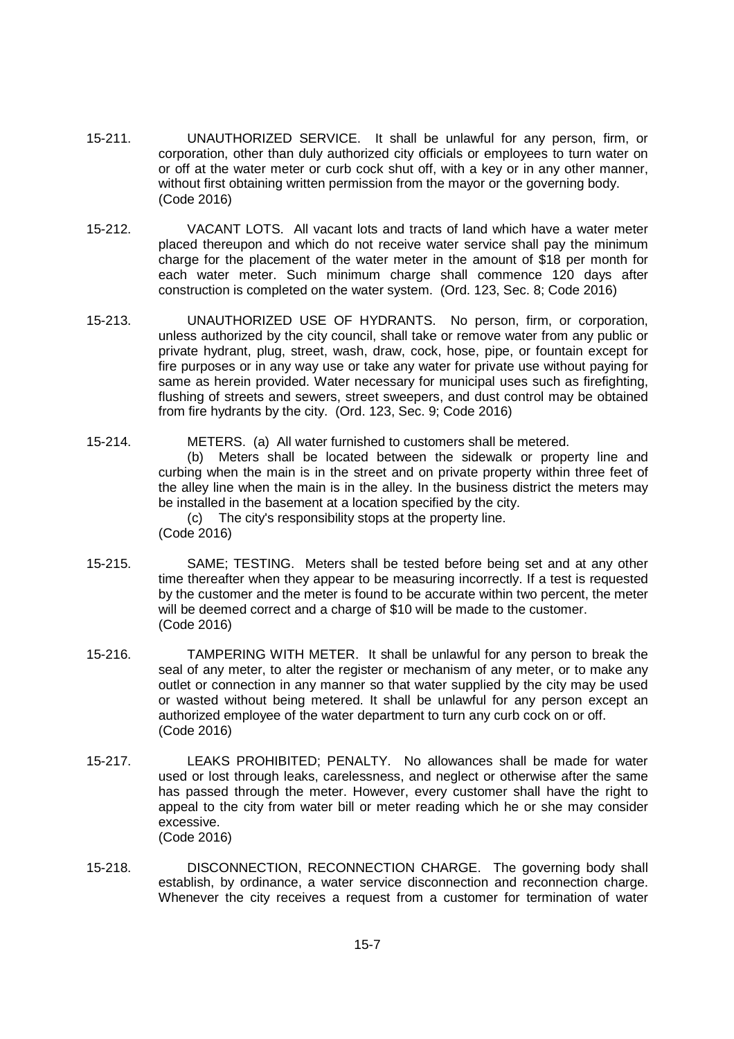- 15-211. UNAUTHORIZED SERVICE. It shall be unlawful for any person, firm, or corporation, other than duly authorized city officials or employees to turn water on or off at the water meter or curb cock shut off, with a key or in any other manner, without first obtaining written permission from the mayor or the governing body. (Code 2016)
- 15-212. VACANT LOTS. All vacant lots and tracts of land which have a water meter placed thereupon and which do not receive water service shall pay the minimum charge for the placement of the water meter in the amount of \$18 per month for each water meter. Such minimum charge shall commence 120 days after construction is completed on the water system. (Ord. 123, Sec. 8; Code 2016)
- 15-213. UNAUTHORIZED USE OF HYDRANTS. No person, firm, or corporation, unless authorized by the city council, shall take or remove water from any public or private hydrant, plug, street, wash, draw, cock, hose, pipe, or fountain except for fire purposes or in any way use or take any water for private use without paying for same as herein provided. Water necessary for municipal uses such as firefighting, flushing of streets and sewers, street sweepers, and dust control may be obtained from fire hydrants by the city. (Ord. 123, Sec. 9; Code 2016)
- 15-214. METERS. (a) All water furnished to customers shall be metered.

(b) Meters shall be located between the sidewalk or property line and curbing when the main is in the street and on private property within three feet of the alley line when the main is in the alley. In the business district the meters may be installed in the basement at a location specified by the city.

(c) The city's responsibility stops at the property line. (Code 2016)

- 15-215. SAME; TESTING. Meters shall be tested before being set and at any other time thereafter when they appear to be measuring incorrectly. If a test is requested by the customer and the meter is found to be accurate within two percent, the meter will be deemed correct and a charge of \$10 will be made to the customer. (Code 2016)
- 15-216. TAMPERING WITH METER. It shall be unlawful for any person to break the seal of any meter, to alter the register or mechanism of any meter, or to make any outlet or connection in any manner so that water supplied by the city may be used or wasted without being metered. It shall be unlawful for any person except an authorized employee of the water department to turn any curb cock on or off. (Code 2016)
- 15-217. LEAKS PROHIBITED; PENALTY. No allowances shall be made for water used or lost through leaks, carelessness, and neglect or otherwise after the same has passed through the meter. However, every customer shall have the right to appeal to the city from water bill or meter reading which he or she may consider excessive. (Code 2016)
- 15-218. DISCONNECTION, RECONNECTION CHARGE. The governing body shall establish, by ordinance, a water service disconnection and reconnection charge. Whenever the city receives a request from a customer for termination of water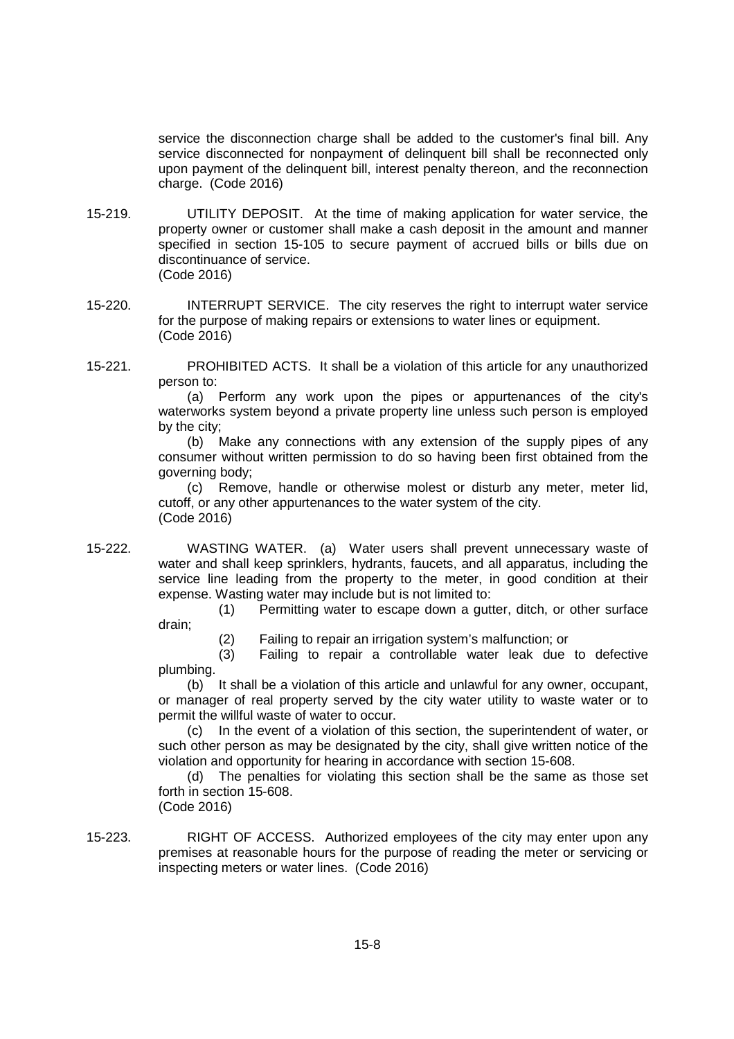service the disconnection charge shall be added to the customer's final bill. Any service disconnected for nonpayment of delinquent bill shall be reconnected only upon payment of the delinquent bill, interest penalty thereon, and the reconnection charge. (Code 2016)

- 15-219. UTILITY DEPOSIT. At the time of making application for water service, the property owner or customer shall make a cash deposit in the amount and manner specified in section 15-105 to secure payment of accrued bills or bills due on discontinuance of service.
	- (Code 2016)
- 15-220. INTERRUPT SERVICE. The city reserves the right to interrupt water service for the purpose of making repairs or extensions to water lines or equipment. (Code 2016)
- 15-221. PROHIBITED ACTS. It shall be a violation of this article for any unauthorized person to:

(a) Perform any work upon the pipes or appurtenances of the city's waterworks system beyond a private property line unless such person is employed by the city;

(b) Make any connections with any extension of the supply pipes of any consumer without written permission to do so having been first obtained from the governing body;

(c) Remove, handle or otherwise molest or disturb any meter, meter lid, cutoff, or any other appurtenances to the water system of the city. (Code 2016)

15-222. WASTING WATER. (a) Water users shall prevent unnecessary waste of water and shall keep sprinklers, hydrants, faucets, and all apparatus, including the service line leading from the property to the meter, in good condition at their expense. Wasting water may include but is not limited to:

> (1) Permitting water to escape down a gutter, ditch, or other surface drain;

(2) Failing to repair an irrigation system's malfunction; or

(3) Failing to repair a controllable water leak due to defective plumbing.

(b) It shall be a violation of this article and unlawful for any owner, occupant, or manager of real property served by the city water utility to waste water or to permit the willful waste of water to occur.

(c) In the event of a violation of this section, the superintendent of water, or such other person as may be designated by the city, shall give written notice of the violation and opportunity for hearing in accordance with section 15-608.

(d) The penalties for violating this section shall be the same as those set forth in section 15-608.

(Code 2016)

15-223. RIGHT OF ACCESS. Authorized employees of the city may enter upon any premises at reasonable hours for the purpose of reading the meter or servicing or inspecting meters or water lines. (Code 2016)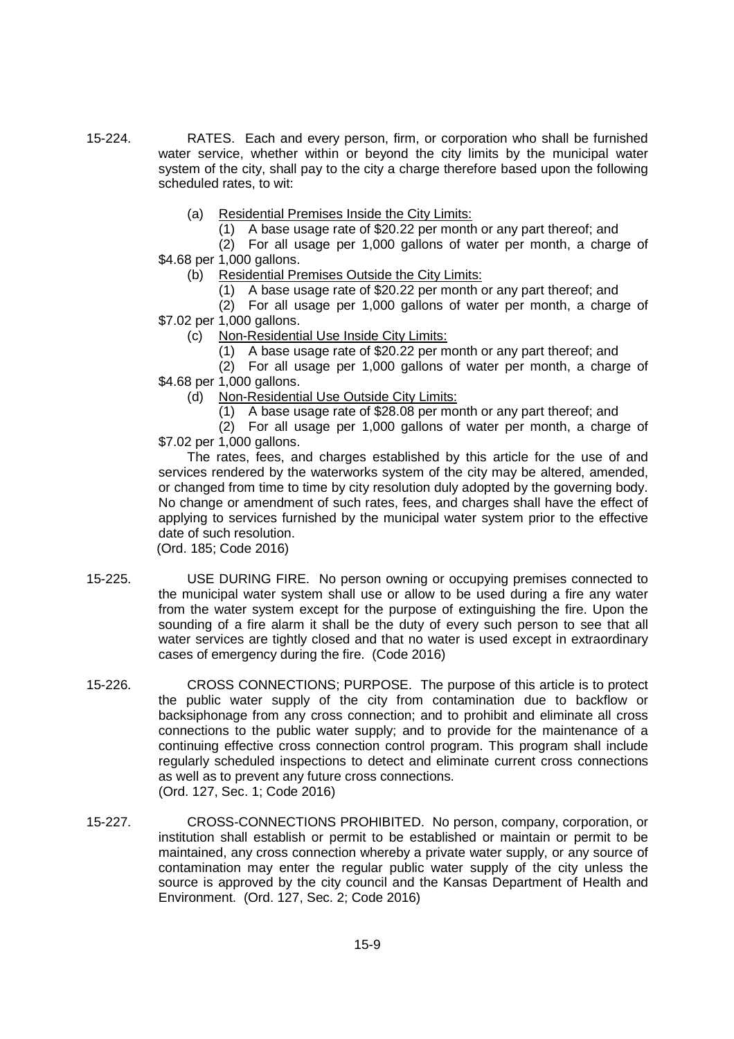- 15-224. RATES. Each and every person, firm, or corporation who shall be furnished water service, whether within or beyond the city limits by the municipal water system of the city, shall pay to the city a charge therefore based upon the following scheduled rates, to wit:
	- (a) Residential Premises Inside the City Limits:
		- (1) A base usage rate of \$20.22 per month or any part thereof; and
	- (2) For all usage per 1,000 gallons of water per month, a charge of \$4.68 per 1,000 gallons.
		- (b) Residential Premises Outside the City Limits:
			- (1) A base usage rate of \$20.22 per month or any part thereof; and

(2) For all usage per 1,000 gallons of water per month, a charge of \$7.02 per 1,000 gallons.

- (c) Non-Residential Use Inside City Limits:
	- (1) A base usage rate of \$20.22 per month or any part thereof; and

(2) For all usage per 1,000 gallons of water per month, a charge of \$4.68 per 1,000 gallons.

- (d) Non-Residential Use Outside City Limits:
	- (1) A base usage rate of \$28.08 per month or any part thereof; and
- (2) For all usage per 1,000 gallons of water per month, a charge of \$7.02 per 1,000 gallons.

The rates, fees, and charges established by this article for the use of and services rendered by the waterworks system of the city may be altered, amended, or changed from time to time by city resolution duly adopted by the governing body. No change or amendment of such rates, fees, and charges shall have the effect of applying to services furnished by the municipal water system prior to the effective date of such resolution.

(Ord. 185; Code 2016)

- 15-225. USE DURING FIRE. No person owning or occupying premises connected to the municipal water system shall use or allow to be used during a fire any water from the water system except for the purpose of extinguishing the fire. Upon the sounding of a fire alarm it shall be the duty of every such person to see that all water services are tightly closed and that no water is used except in extraordinary cases of emergency during the fire. (Code 2016)
- 15-226. CROSS CONNECTIONS; PURPOSE. The purpose of this article is to protect the public water supply of the city from contamination due to backflow or backsiphonage from any cross connection; and to prohibit and eliminate all cross connections to the public water supply; and to provide for the maintenance of a continuing effective cross connection control program. This program shall include regularly scheduled inspections to detect and eliminate current cross connections as well as to prevent any future cross connections. (Ord. 127, Sec. 1; Code 2016)
- 15-227. CROSS-CONNECTIONS PROHIBITED. No person, company, corporation, or institution shall establish or permit to be established or maintain or permit to be maintained, any cross connection whereby a private water supply, or any source of contamination may enter the regular public water supply of the city unless the source is approved by the city council and the Kansas Department of Health and Environment. (Ord. 127, Sec. 2; Code 2016)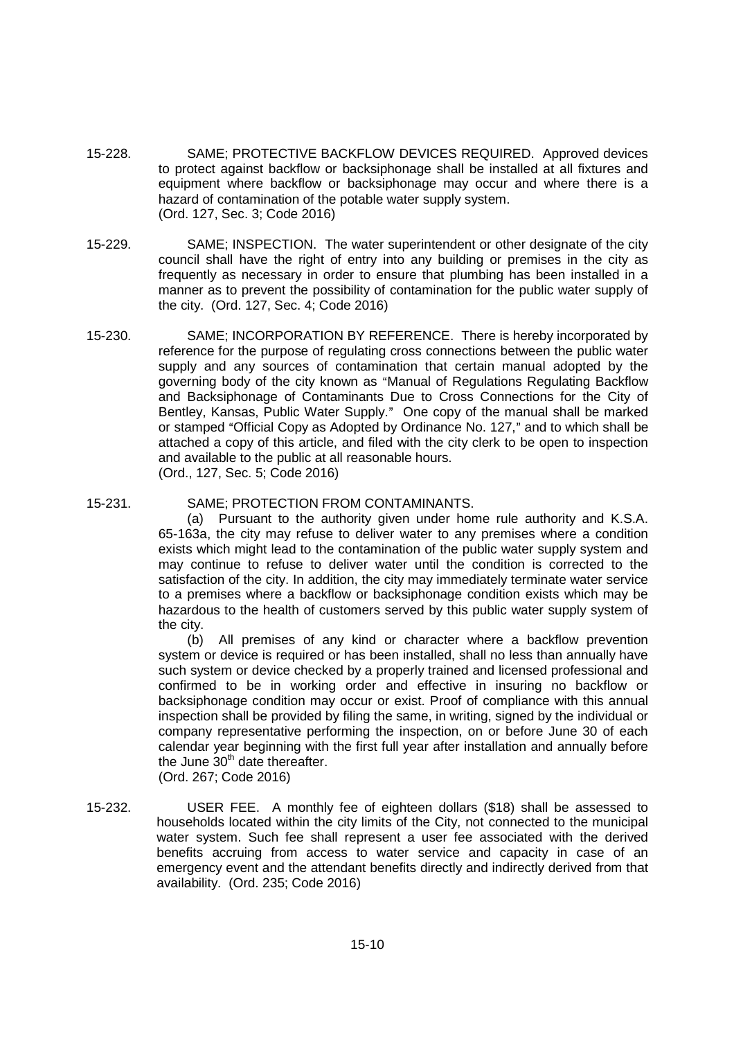- 15-228. SAME; PROTECTIVE BACKFLOW DEVICES REQUIRED. Approved devices to protect against backflow or backsiphonage shall be installed at all fixtures and equipment where backflow or backsiphonage may occur and where there is a hazard of contamination of the potable water supply system. (Ord. 127, Sec. 3; Code 2016)
- 15-229. SAME; INSPECTION. The water superintendent or other designate of the city council shall have the right of entry into any building or premises in the city as frequently as necessary in order to ensure that plumbing has been installed in a manner as to prevent the possibility of contamination for the public water supply of the city. (Ord. 127, Sec. 4; Code 2016)
- 15-230. SAME; INCORPORATION BY REFERENCE. There is hereby incorporated by reference for the purpose of regulating cross connections between the public water supply and any sources of contamination that certain manual adopted by the governing body of the city known as "Manual of Regulations Regulating Backflow and Backsiphonage of Contaminants Due to Cross Connections for the City of Bentley, Kansas, Public Water Supply." One copy of the manual shall be marked or stamped "Official Copy as Adopted by Ordinance No. 127," and to which shall be attached a copy of this article, and filed with the city clerk to be open to inspection and available to the public at all reasonable hours. (Ord., 127, Sec. 5; Code 2016)
- 15-231. SAME; PROTECTION FROM CONTAMINANTS.

(a) Pursuant to the authority given under home rule authority and K.S.A. 65-163a, the city may refuse to deliver water to any premises where a condition exists which might lead to the contamination of the public water supply system and may continue to refuse to deliver water until the condition is corrected to the satisfaction of the city. In addition, the city may immediately terminate water service to a premises where a backflow or backsiphonage condition exists which may be hazardous to the health of customers served by this public water supply system of the city.

(b) All premises of any kind or character where a backflow prevention system or device is required or has been installed, shall no less than annually have such system or device checked by a properly trained and licensed professional and confirmed to be in working order and effective in insuring no backflow or backsiphonage condition may occur or exist. Proof of compliance with this annual inspection shall be provided by filing the same, in writing, signed by the individual or company representative performing the inspection, on or before June 30 of each calendar year beginning with the first full year after installation and annually before the June 30<sup>th</sup> date thereafter.

(Ord. 267; Code 2016)

15-232. USER FEE. A monthly fee of eighteen dollars (\$18) shall be assessed to households located within the city limits of the City, not connected to the municipal water system. Such fee shall represent a user fee associated with the derived benefits accruing from access to water service and capacity in case of an emergency event and the attendant benefits directly and indirectly derived from that availability. (Ord. 235; Code 2016)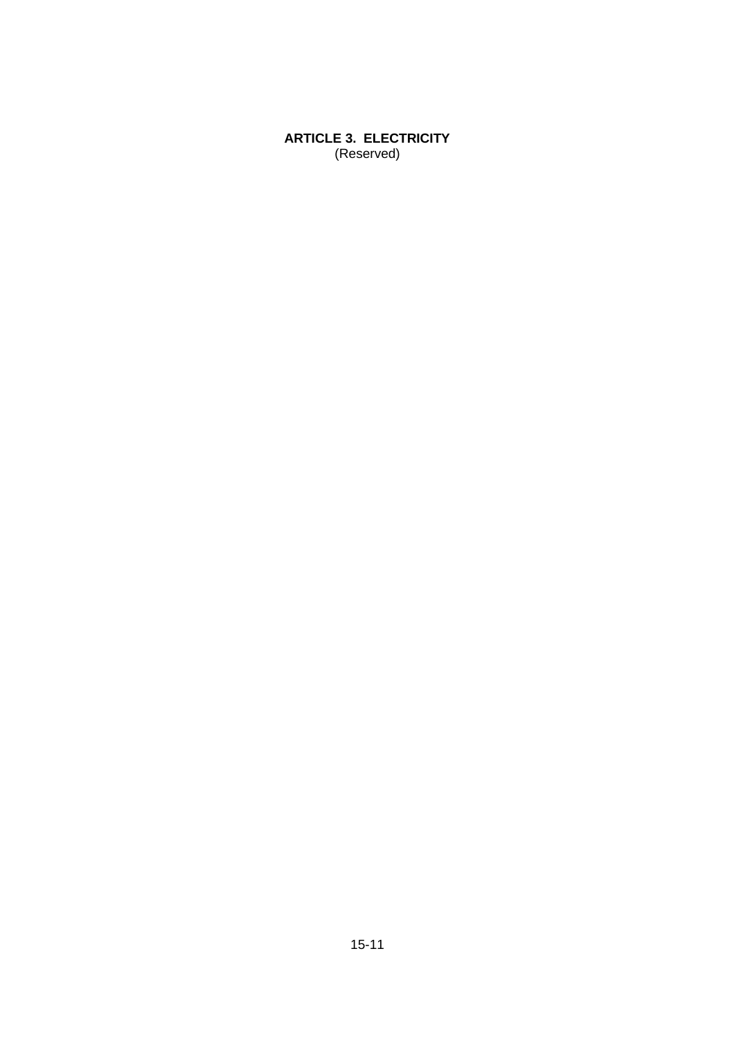**ARTICLE 3. ELECTRICITY** (Reserved)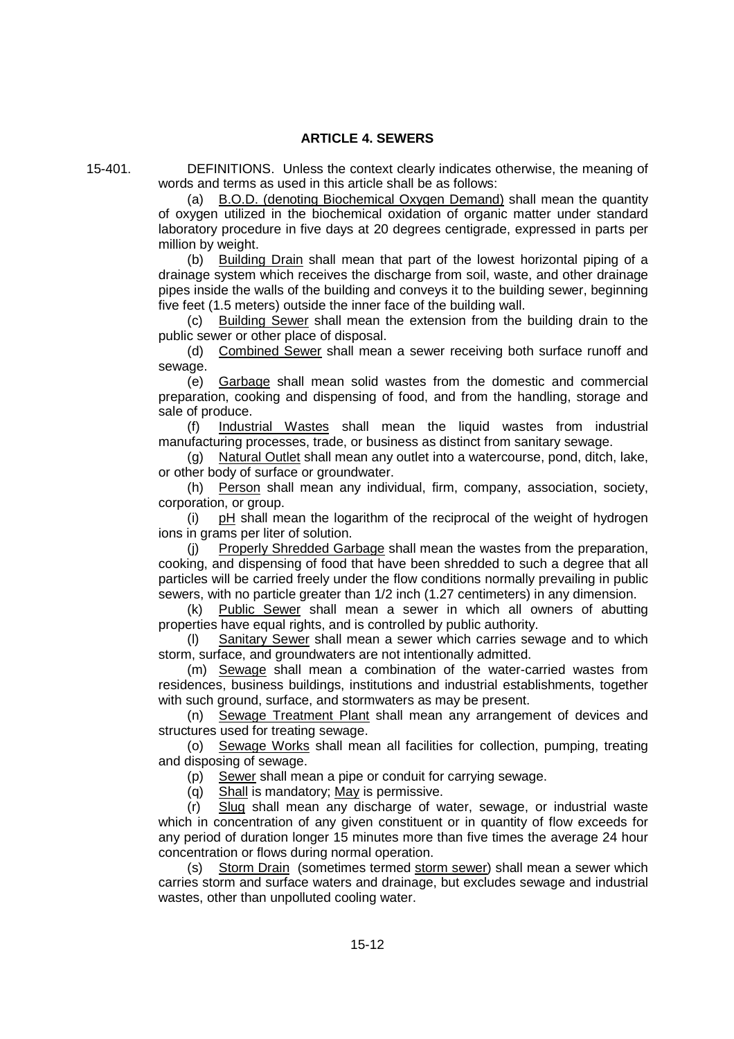# **ARTICLE 4. SEWERS**

15-401. DEFINITIONS. Unless the context clearly indicates otherwise, the meaning of words and terms as used in this article shall be as follows:

(a) B.O.D. (denoting Biochemical Oxygen Demand) shall mean the quantity of oxygen utilized in the biochemical oxidation of organic matter under standard laboratory procedure in five days at 20 degrees centigrade, expressed in parts per million by weight.

(b) Building Drain shall mean that part of the lowest horizontal piping of a drainage system which receives the discharge from soil, waste, and other drainage pipes inside the walls of the building and conveys it to the building sewer, beginning five feet (1.5 meters) outside the inner face of the building wall.

(c) Building Sewer shall mean the extension from the building drain to the public sewer or other place of disposal.

(d) Combined Sewer shall mean a sewer receiving both surface runoff and sewage.

(e) Garbage shall mean solid wastes from the domestic and commercial preparation, cooking and dispensing of food, and from the handling, storage and sale of produce.

(f) Industrial Wastes shall mean the liquid wastes from industrial manufacturing processes, trade, or business as distinct from sanitary sewage.

(g) Natural Outlet shall mean any outlet into a watercourse, pond, ditch, lake, or other body of surface or groundwater.

(h) Person shall mean any individual, firm, company, association, society, corporation, or group.

(i)  $pH$  shall mean the logarithm of the reciprocal of the weight of hydrogen ions in grams per liter of solution.

(j) Properly Shredded Garbage shall mean the wastes from the preparation, cooking, and dispensing of food that have been shredded to such a degree that all particles will be carried freely under the flow conditions normally prevailing in public sewers, with no particle greater than 1/2 inch (1.27 centimeters) in any dimension.

(k) Public Sewer shall mean a sewer in which all owners of abutting properties have equal rights, and is controlled by public authority.

(l) Sanitary Sewer shall mean a sewer which carries sewage and to which storm, surface, and groundwaters are not intentionally admitted.

(m) Sewage shall mean a combination of the water-carried wastes from residences, business buildings, institutions and industrial establishments, together with such ground, surface, and stormwaters as may be present.

(n) Sewage Treatment Plant shall mean any arrangement of devices and structures used for treating sewage.

(o) Sewage Works shall mean all facilities for collection, pumping, treating and disposing of sewage.

(p) Sewer shall mean a pipe or conduit for carrying sewage.

(q) Shall is mandatory; May is permissive.

(r) Slug shall mean any discharge of water, sewage, or industrial waste which in concentration of any given constituent or in quantity of flow exceeds for any period of duration longer 15 minutes more than five times the average 24 hour concentration or flows during normal operation.

(s) Storm Drain (sometimes termed storm sewer) shall mean a sewer which carries storm and surface waters and drainage, but excludes sewage and industrial wastes, other than unpolluted cooling water.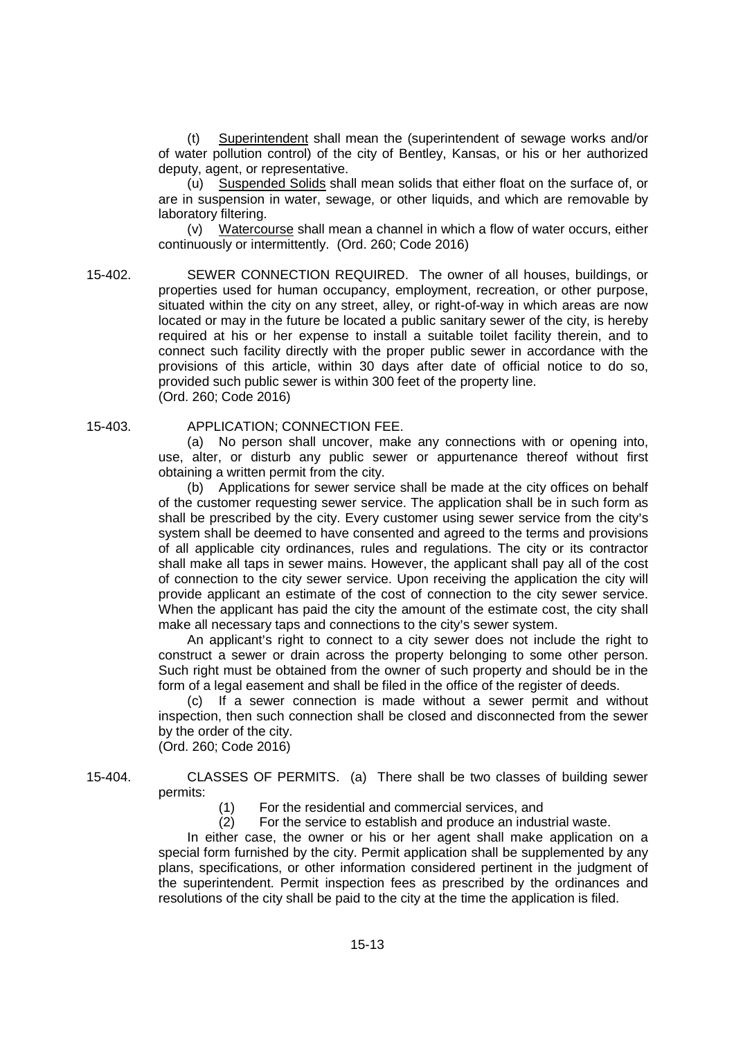(t) Superintendent shall mean the (superintendent of sewage works and/or of water pollution control) of the city of Bentley, Kansas, or his or her authorized deputy, agent, or representative.

(u) Suspended Solids shall mean solids that either float on the surface of, or are in suspension in water, sewage, or other liquids, and which are removable by laboratory filtering.

(v) Watercourse shall mean a channel in which a flow of water occurs, either continuously or intermittently. (Ord. 260; Code 2016)

15-402. SEWER CONNECTION REQUIRED. The owner of all houses, buildings, or properties used for human occupancy, employment, recreation, or other purpose, situated within the city on any street, alley, or right-of-way in which areas are now located or may in the future be located a public sanitary sewer of the city, is hereby required at his or her expense to install a suitable toilet facility therein, and to connect such facility directly with the proper public sewer in accordance with the provisions of this article, within 30 days after date of official notice to do so, provided such public sewer is within 300 feet of the property line. (Ord. 260; Code 2016)

# 15-403. APPLICATION; CONNECTION FEE.

(a) No person shall uncover, make any connections with or opening into, use, alter, or disturb any public sewer or appurtenance thereof without first obtaining a written permit from the city.

(b) Applications for sewer service shall be made at the city offices on behalf of the customer requesting sewer service. The application shall be in such form as shall be prescribed by the city. Every customer using sewer service from the city's system shall be deemed to have consented and agreed to the terms and provisions of all applicable city ordinances, rules and regulations. The city or its contractor shall make all taps in sewer mains. However, the applicant shall pay all of the cost of connection to the city sewer service. Upon receiving the application the city will provide applicant an estimate of the cost of connection to the city sewer service. When the applicant has paid the city the amount of the estimate cost, the city shall make all necessary taps and connections to the city's sewer system.

An applicant's right to connect to a city sewer does not include the right to construct a sewer or drain across the property belonging to some other person. Such right must be obtained from the owner of such property and should be in the form of a legal easement and shall be filed in the office of the register of deeds.

(c) If a sewer connection is made without a sewer permit and without inspection, then such connection shall be closed and disconnected from the sewer by the order of the city.

(Ord. 260; Code 2016)

15-404. CLASSES OF PERMITS. (a) There shall be two classes of building sewer permits:

(1) For the residential and commercial services, and

(2) For the service to establish and produce an industrial waste.

In either case, the owner or his or her agent shall make application on a special form furnished by the city. Permit application shall be supplemented by any plans, specifications, or other information considered pertinent in the judgment of the superintendent. Permit inspection fees as prescribed by the ordinances and resolutions of the city shall be paid to the city at the time the application is filed.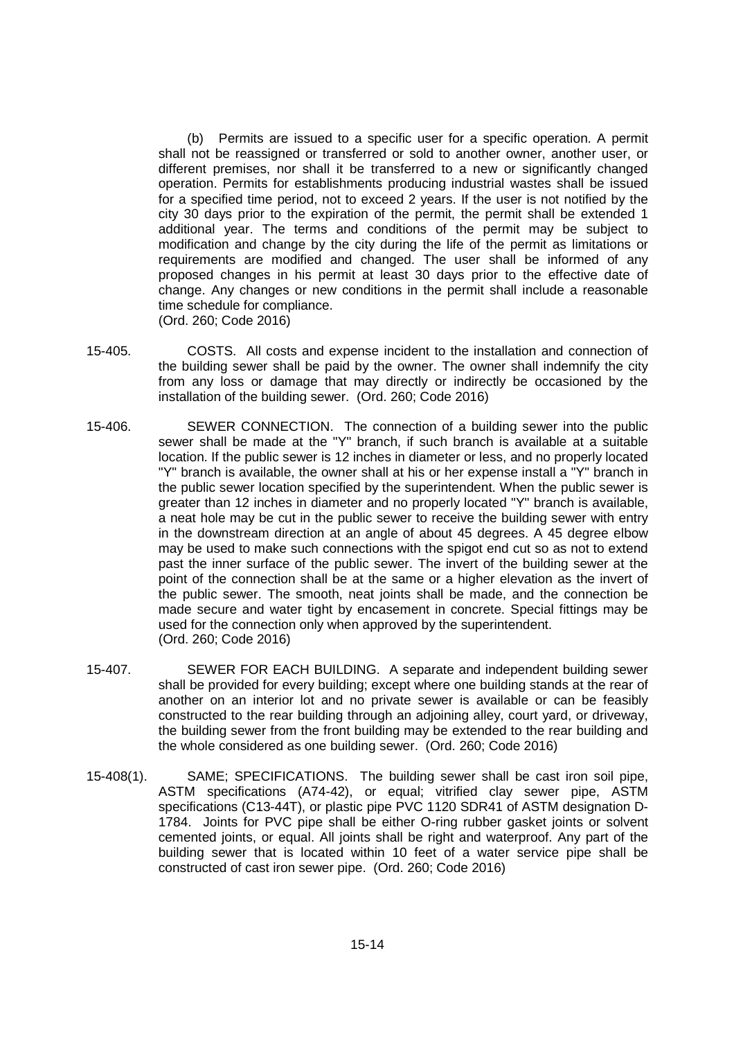(b) Permits are issued to a specific user for a specific operation. A permit shall not be reassigned or transferred or sold to another owner, another user, or different premises, nor shall it be transferred to a new or significantly changed operation. Permits for establishments producing industrial wastes shall be issued for a specified time period, not to exceed 2 years. If the user is not notified by the city 30 days prior to the expiration of the permit, the permit shall be extended 1 additional year. The terms and conditions of the permit may be subject to modification and change by the city during the life of the permit as limitations or requirements are modified and changed. The user shall be informed of any proposed changes in his permit at least 30 days prior to the effective date of change. Any changes or new conditions in the permit shall include a reasonable time schedule for compliance.

(Ord. 260; Code 2016)

- 15-405. COSTS. All costs and expense incident to the installation and connection of the building sewer shall be paid by the owner. The owner shall indemnify the city from any loss or damage that may directly or indirectly be occasioned by the installation of the building sewer. (Ord. 260; Code 2016)
- 15-406. SEWER CONNECTION. The connection of a building sewer into the public sewer shall be made at the "Y" branch, if such branch is available at a suitable location. If the public sewer is 12 inches in diameter or less, and no properly located "Y" branch is available, the owner shall at his or her expense install a "Y" branch in the public sewer location specified by the superintendent. When the public sewer is greater than 12 inches in diameter and no properly located "Y" branch is available, a neat hole may be cut in the public sewer to receive the building sewer with entry in the downstream direction at an angle of about 45 degrees. A 45 degree elbow may be used to make such connections with the spigot end cut so as not to extend past the inner surface of the public sewer. The invert of the building sewer at the point of the connection shall be at the same or a higher elevation as the invert of the public sewer. The smooth, neat joints shall be made, and the connection be made secure and water tight by encasement in concrete. Special fittings may be used for the connection only when approved by the superintendent. (Ord. 260; Code 2016)
- 15-407. SEWER FOR EACH BUILDING. A separate and independent building sewer shall be provided for every building; except where one building stands at the rear of another on an interior lot and no private sewer is available or can be feasibly constructed to the rear building through an adjoining alley, court yard, or driveway, the building sewer from the front building may be extended to the rear building and the whole considered as one building sewer. (Ord. 260; Code 2016)
- 15-408(1). SAME; SPECIFICATIONS. The building sewer shall be cast iron soil pipe, ASTM specifications (A74-42), or equal; vitrified clay sewer pipe, ASTM specifications (C13-44T), or plastic pipe PVC 1120 SDR41 of ASTM designation D-1784. Joints for PVC pipe shall be either O-ring rubber gasket joints or solvent cemented joints, or equal. All joints shall be right and waterproof. Any part of the building sewer that is located within 10 feet of a water service pipe shall be constructed of cast iron sewer pipe. (Ord. 260; Code 2016)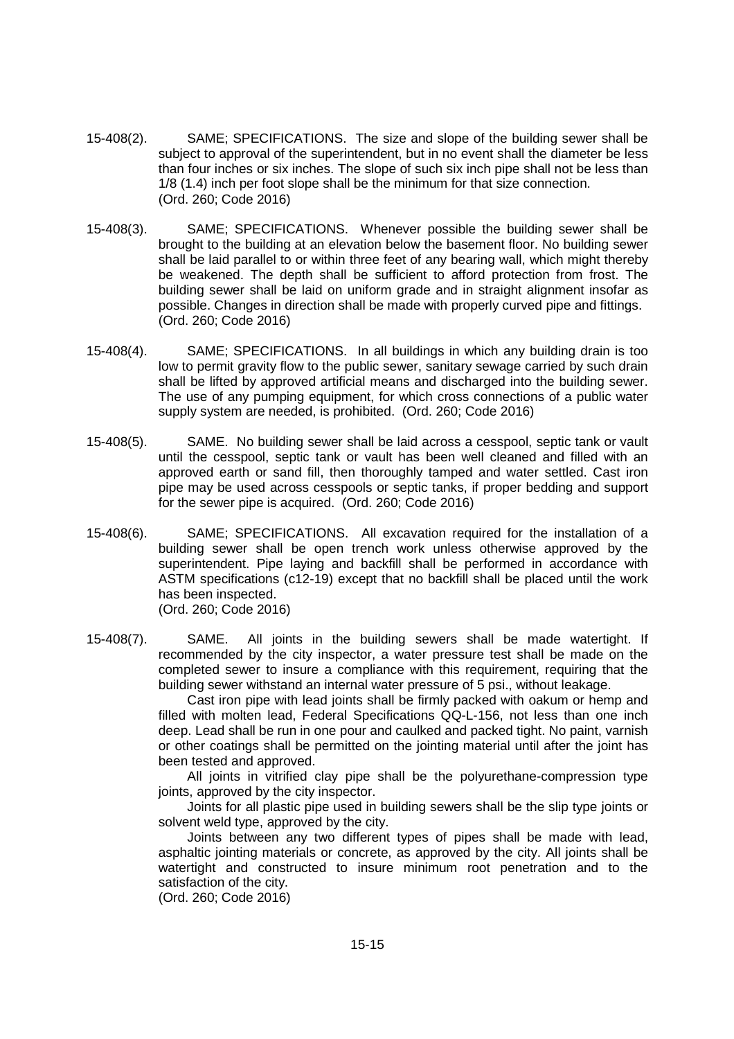- 15-408(2). SAME; SPECIFICATIONS. The size and slope of the building sewer shall be subject to approval of the superintendent, but in no event shall the diameter be less than four inches or six inches. The slope of such six inch pipe shall not be less than 1/8 (1.4) inch per foot slope shall be the minimum for that size connection. (Ord. 260; Code 2016)
- 15-408(3). SAME; SPECIFICATIONS. Whenever possible the building sewer shall be brought to the building at an elevation below the basement floor. No building sewer shall be laid parallel to or within three feet of any bearing wall, which might thereby be weakened. The depth shall be sufficient to afford protection from frost. The building sewer shall be laid on uniform grade and in straight alignment insofar as possible. Changes in direction shall be made with properly curved pipe and fittings. (Ord. 260; Code 2016)
- 15-408(4). SAME; SPECIFICATIONS. In all buildings in which any building drain is too low to permit gravity flow to the public sewer, sanitary sewage carried by such drain shall be lifted by approved artificial means and discharged into the building sewer. The use of any pumping equipment, for which cross connections of a public water supply system are needed, is prohibited. (Ord. 260; Code 2016)
- 15-408(5). SAME. No building sewer shall be laid across a cesspool, septic tank or vault until the cesspool, septic tank or vault has been well cleaned and filled with an approved earth or sand fill, then thoroughly tamped and water settled. Cast iron pipe may be used across cesspools or septic tanks, if proper bedding and support for the sewer pipe is acquired. (Ord. 260; Code 2016)
- 15-408(6). SAME; SPECIFICATIONS. All excavation required for the installation of a building sewer shall be open trench work unless otherwise approved by the superintendent. Pipe laying and backfill shall be performed in accordance with ASTM specifications (c12-19) except that no backfill shall be placed until the work has been inspected. (Ord. 260; Code 2016)
- 15-408(7). SAME. All joints in the building sewers shall be made watertight. If recommended by the city inspector, a water pressure test shall be made on the completed sewer to insure a compliance with this requirement, requiring that the building sewer withstand an internal water pressure of 5 psi., without leakage.

Cast iron pipe with lead joints shall be firmly packed with oakum or hemp and filled with molten lead, Federal Specifications QQ-L-156, not less than one inch deep. Lead shall be run in one pour and caulked and packed tight. No paint, varnish or other coatings shall be permitted on the jointing material until after the joint has been tested and approved.

All joints in vitrified clay pipe shall be the polyurethane-compression type joints, approved by the city inspector.

Joints for all plastic pipe used in building sewers shall be the slip type joints or solvent weld type, approved by the city.

Joints between any two different types of pipes shall be made with lead, asphaltic jointing materials or concrete, as approved by the city. All joints shall be watertight and constructed to insure minimum root penetration and to the satisfaction of the city.

(Ord. 260; Code 2016)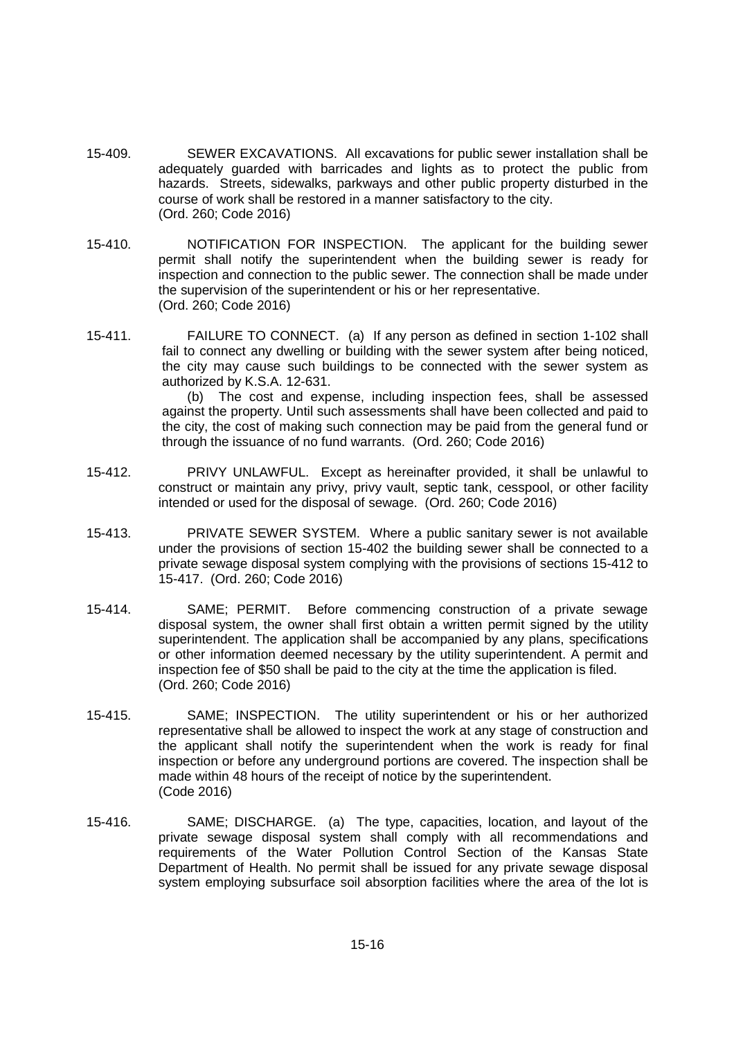- 15-409. SEWER EXCAVATIONS. All excavations for public sewer installation shall be adequately guarded with barricades and lights as to protect the public from hazards. Streets, sidewalks, parkways and other public property disturbed in the course of work shall be restored in a manner satisfactory to the city. (Ord. 260; Code 2016)
- 15-410. NOTIFICATION FOR INSPECTION. The applicant for the building sewer permit shall notify the superintendent when the building sewer is ready for inspection and connection to the public sewer. The connection shall be made under the supervision of the superintendent or his or her representative. (Ord. 260; Code 2016)
- 15-411. FAILURE TO CONNECT. (a) If any person as defined in section 1-102 shall fail to connect any dwelling or building with the sewer system after being noticed, the city may cause such buildings to be connected with the sewer system as authorized by K.S.A. 12-631.

(b) The cost and expense, including inspection fees, shall be assessed against the property. Until such assessments shall have been collected and paid to the city, the cost of making such connection may be paid from the general fund or through the issuance of no fund warrants. (Ord. 260; Code 2016)

- 15-412. PRIVY UNLAWFUL. Except as hereinafter provided, it shall be unlawful to construct or maintain any privy, privy vault, septic tank, cesspool, or other facility intended or used for the disposal of sewage. (Ord. 260; Code 2016)
- 15-413. PRIVATE SEWER SYSTEM. Where a public sanitary sewer is not available under the provisions of section 15-402 the building sewer shall be connected to a private sewage disposal system complying with the provisions of sections 15-412 to 15-417. (Ord. 260; Code 2016)
- 15-414. SAME; PERMIT. Before commencing construction of a private sewage disposal system, the owner shall first obtain a written permit signed by the utility superintendent. The application shall be accompanied by any plans, specifications or other information deemed necessary by the utility superintendent. A permit and inspection fee of \$50 shall be paid to the city at the time the application is filed. (Ord. 260; Code 2016)
- 15-415. SAME; INSPECTION. The utility superintendent or his or her authorized representative shall be allowed to inspect the work at any stage of construction and the applicant shall notify the superintendent when the work is ready for final inspection or before any underground portions are covered. The inspection shall be made within 48 hours of the receipt of notice by the superintendent. (Code 2016)
- 15-416. SAME; DISCHARGE. (a) The type, capacities, location, and layout of the private sewage disposal system shall comply with all recommendations and requirements of the Water Pollution Control Section of the Kansas State Department of Health. No permit shall be issued for any private sewage disposal system employing subsurface soil absorption facilities where the area of the lot is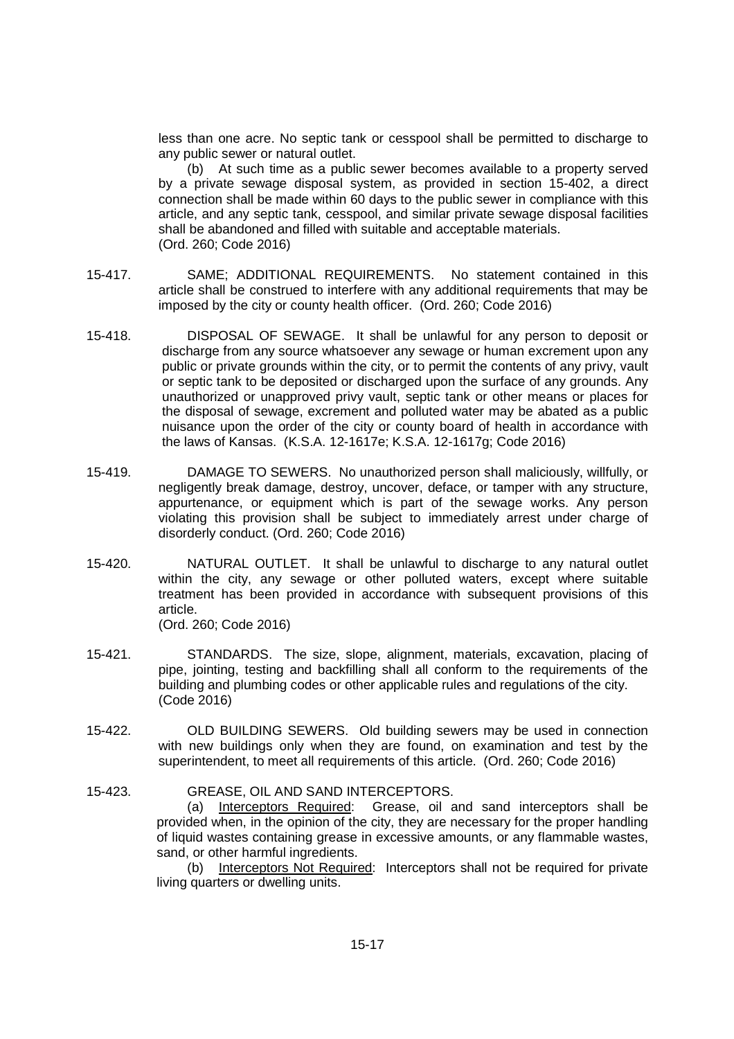less than one acre. No septic tank or cesspool shall be permitted to discharge to any public sewer or natural outlet.

(b) At such time as a public sewer becomes available to a property served by a private sewage disposal system, as provided in section 15-402, a direct connection shall be made within 60 days to the public sewer in compliance with this article, and any septic tank, cesspool, and similar private sewage disposal facilities shall be abandoned and filled with suitable and acceptable materials. (Ord. 260; Code 2016)

- 15-417. SAME; ADDITIONAL REQUIREMENTS. No statement contained in this article shall be construed to interfere with any additional requirements that may be imposed by the city or county health officer. (Ord. 260; Code 2016)
- 15-418. DISPOSAL OF SEWAGE. It shall be unlawful for any person to deposit or discharge from any source whatsoever any sewage or human excrement upon any public or private grounds within the city, or to permit the contents of any privy, vault or septic tank to be deposited or discharged upon the surface of any grounds. Any unauthorized or unapproved privy vault, septic tank or other means or places for the disposal of sewage, excrement and polluted water may be abated as a public nuisance upon the order of the city or county board of health in accordance with the laws of Kansas. (K.S.A. 12-1617e; K.S.A. 12-1617g; Code 2016)
- 15-419. DAMAGE TO SEWERS. No unauthorized person shall maliciously, willfully, or negligently break damage, destroy, uncover, deface, or tamper with any structure, appurtenance, or equipment which is part of the sewage works. Any person violating this provision shall be subject to immediately arrest under charge of disorderly conduct. (Ord. 260; Code 2016)
- 15-420. NATURAL OUTLET. It shall be unlawful to discharge to any natural outlet within the city, any sewage or other polluted waters, except where suitable treatment has been provided in accordance with subsequent provisions of this article. (Ord. 260; Code 2016)
- 15-421. STANDARDS. The size, slope, alignment, materials, excavation, placing of pipe, jointing, testing and backfilling shall all conform to the requirements of the building and plumbing codes or other applicable rules and regulations of the city. (Code 2016)
- 15-422. OLD BUILDING SEWERS. Old building sewers may be used in connection with new buildings only when they are found, on examination and test by the superintendent, to meet all requirements of this article. (Ord. 260; Code 2016)
- 15-423. GREASE, OIL AND SAND INTERCEPTORS. (a) Interceptors Required: Grease, oil and sand interceptors shall be provided when, in the opinion of the city, they are necessary for the proper handling of liquid wastes containing grease in excessive amounts, or any flammable wastes, sand, or other harmful ingredients.

(b) Interceptors Not Required: Interceptors shall not be required for private living quarters or dwelling units.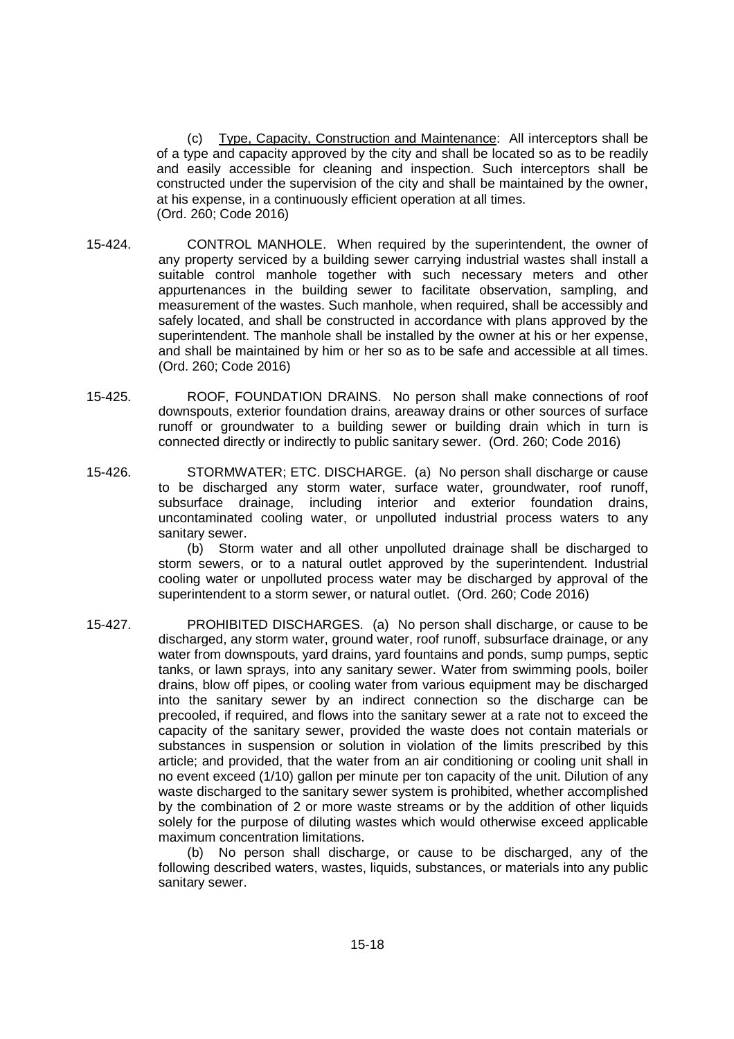(c) Type, Capacity, Construction and Maintenance: All interceptors shall be of a type and capacity approved by the city and shall be located so as to be readily and easily accessible for cleaning and inspection. Such interceptors shall be constructed under the supervision of the city and shall be maintained by the owner, at his expense, in a continuously efficient operation at all times. (Ord. 260; Code 2016)

- 15-424. CONTROL MANHOLE. When required by the superintendent, the owner of any property serviced by a building sewer carrying industrial wastes shall install a suitable control manhole together with such necessary meters and other appurtenances in the building sewer to facilitate observation, sampling, and measurement of the wastes. Such manhole, when required, shall be accessibly and safely located, and shall be constructed in accordance with plans approved by the superintendent. The manhole shall be installed by the owner at his or her expense, and shall be maintained by him or her so as to be safe and accessible at all times. (Ord. 260; Code 2016)
- 15-425. ROOF, FOUNDATION DRAINS. No person shall make connections of roof downspouts, exterior foundation drains, areaway drains or other sources of surface runoff or groundwater to a building sewer or building drain which in turn is connected directly or indirectly to public sanitary sewer. (Ord. 260; Code 2016)
- 15-426. STORMWATER; ETC. DISCHARGE. (a) No person shall discharge or cause to be discharged any storm water, surface water, groundwater, roof runoff, subsurface drainage, including interior and exterior foundation drains, uncontaminated cooling water, or unpolluted industrial process waters to any sanitary sewer.

(b) Storm water and all other unpolluted drainage shall be discharged to storm sewers, or to a natural outlet approved by the superintendent. Industrial cooling water or unpolluted process water may be discharged by approval of the superintendent to a storm sewer, or natural outlet. (Ord. 260; Code 2016)

15-427. PROHIBITED DISCHARGES. (a) No person shall discharge, or cause to be discharged, any storm water, ground water, roof runoff, subsurface drainage, or any water from downspouts, yard drains, yard fountains and ponds, sump pumps, septic tanks, or lawn sprays, into any sanitary sewer. Water from swimming pools, boiler drains, blow off pipes, or cooling water from various equipment may be discharged into the sanitary sewer by an indirect connection so the discharge can be precooled, if required, and flows into the sanitary sewer at a rate not to exceed the capacity of the sanitary sewer, provided the waste does not contain materials or substances in suspension or solution in violation of the limits prescribed by this article; and provided, that the water from an air conditioning or cooling unit shall in no event exceed (1/10) gallon per minute per ton capacity of the unit. Dilution of any waste discharged to the sanitary sewer system is prohibited, whether accomplished by the combination of 2 or more waste streams or by the addition of other liquids solely for the purpose of diluting wastes which would otherwise exceed applicable maximum concentration limitations.

(b) No person shall discharge, or cause to be discharged, any of the following described waters, wastes, liquids, substances, or materials into any public sanitary sewer.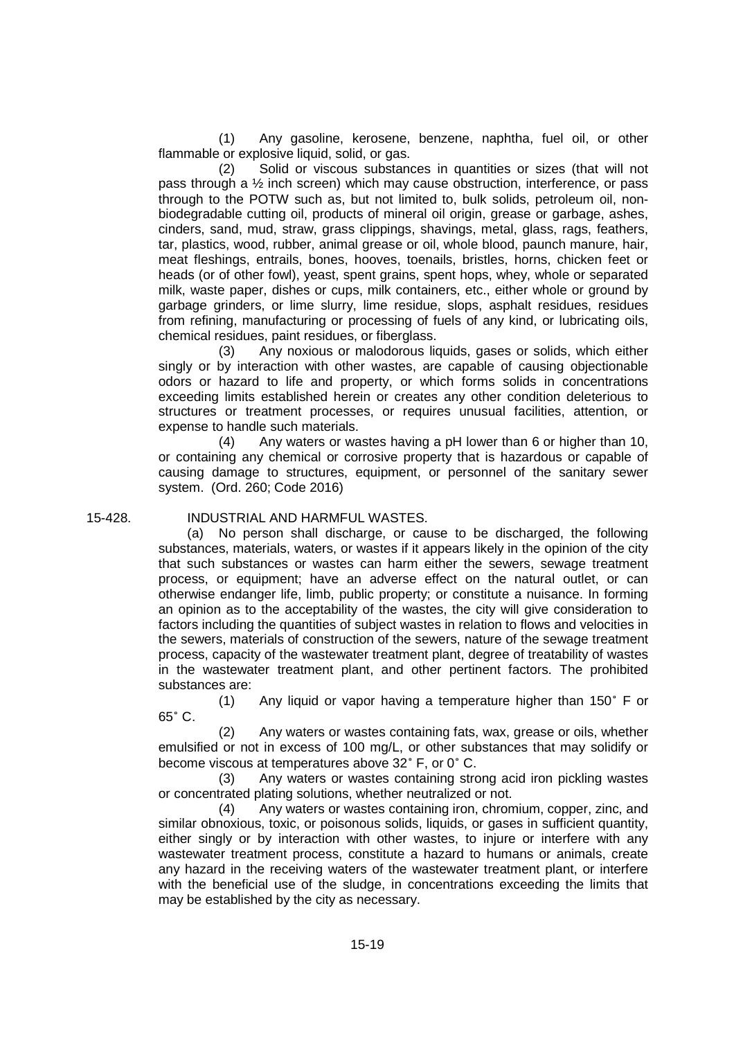(1) Any gasoline, kerosene, benzene, naphtha, fuel oil, or other flammable or explosive liquid, solid, or gas.

(2) Solid or viscous substances in quantities or sizes (that will not pass through a  $\frac{1}{2}$  inch screen) which may cause obstruction, interference, or pass through to the POTW such as, but not limited to, bulk solids, petroleum oil, nonbiodegradable cutting oil, products of mineral oil origin, grease or garbage, ashes, cinders, sand, mud, straw, grass clippings, shavings, metal, glass, rags, feathers, tar, plastics, wood, rubber, animal grease or oil, whole blood, paunch manure, hair, meat fleshings, entrails, bones, hooves, toenails, bristles, horns, chicken feet or heads (or of other fowl), yeast, spent grains, spent hops, whey, whole or separated milk, waste paper, dishes or cups, milk containers, etc., either whole or ground by garbage grinders, or lime slurry, lime residue, slops, asphalt residues, residues from refining, manufacturing or processing of fuels of any kind, or lubricating oils, chemical residues, paint residues, or fiberglass.

(3) Any noxious or malodorous liquids, gases or solids, which either singly or by interaction with other wastes, are capable of causing objectionable odors or hazard to life and property, or which forms solids in concentrations exceeding limits established herein or creates any other condition deleterious to structures or treatment processes, or requires unusual facilities, attention, or expense to handle such materials.

(4) Any waters or wastes having a pH lower than 6 or higher than 10, or containing any chemical or corrosive property that is hazardous or capable of causing damage to structures, equipment, or personnel of the sanitary sewer system. (Ord. 260; Code 2016)

#### 15-428. INDUSTRIAL AND HARMFUL WASTES.

(a) No person shall discharge, or cause to be discharged, the following substances, materials, waters, or wastes if it appears likely in the opinion of the city that such substances or wastes can harm either the sewers, sewage treatment process, or equipment; have an adverse effect on the natural outlet, or can otherwise endanger life, limb, public property; or constitute a nuisance. In forming an opinion as to the acceptability of the wastes, the city will give consideration to factors including the quantities of subject wastes in relation to flows and velocities in the sewers, materials of construction of the sewers, nature of the sewage treatment process, capacity of the wastewater treatment plant, degree of treatability of wastes in the wastewater treatment plant, and other pertinent factors. The prohibited substances are:

(1) Any liquid or vapor having a temperature higher than 150˚ F or 65˚ C.

(2) Any waters or wastes containing fats, wax, grease or oils, whether emulsified or not in excess of 100 mg/L, or other substances that may solidify or become viscous at temperatures above 32˚ F, or 0˚ C.

(3) Any waters or wastes containing strong acid iron pickling wastes or concentrated plating solutions, whether neutralized or not.

(4) Any waters or wastes containing iron, chromium, copper, zinc, and similar obnoxious, toxic, or poisonous solids, liquids, or gases in sufficient quantity, either singly or by interaction with other wastes, to injure or interfere with any wastewater treatment process, constitute a hazard to humans or animals, create any hazard in the receiving waters of the wastewater treatment plant, or interfere with the beneficial use of the sludge, in concentrations exceeding the limits that may be established by the city as necessary.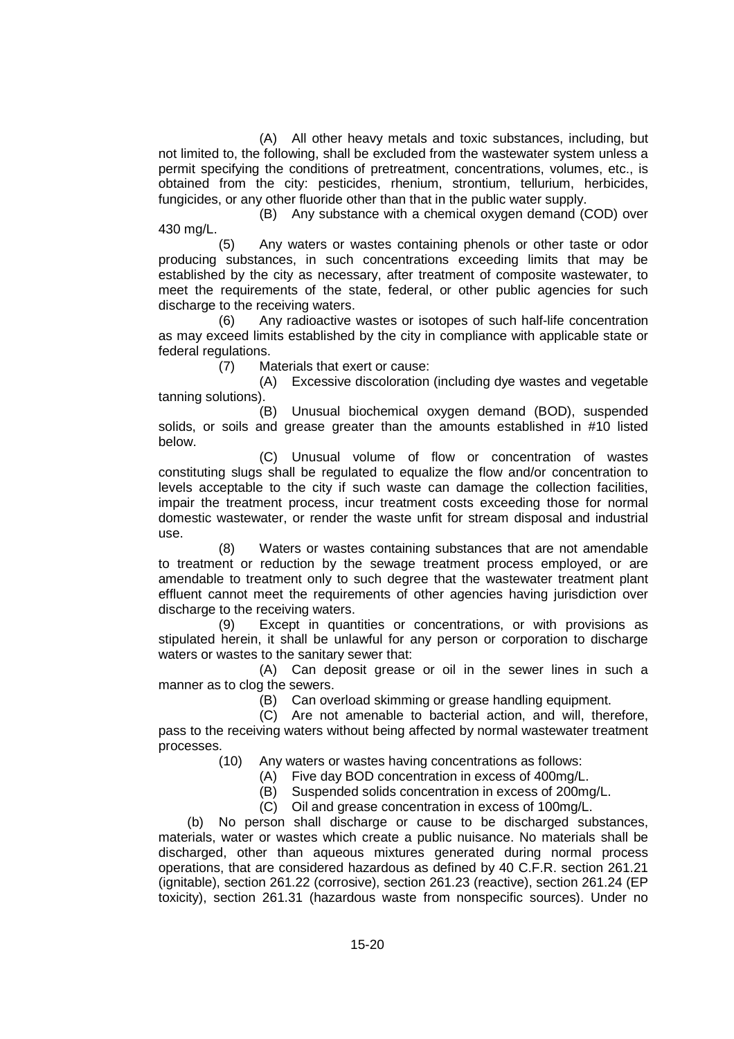(A) All other heavy metals and toxic substances, including, but not limited to, the following, shall be excluded from the wastewater system unless a permit specifying the conditions of pretreatment, concentrations, volumes, etc., is obtained from the city: pesticides, rhenium, strontium, tellurium, herbicides, fungicides, or any other fluoride other than that in the public water supply.

(B) Any substance with a chemical oxygen demand (COD) over 430 mg/L.

(5) Any waters or wastes containing phenols or other taste or odor producing substances, in such concentrations exceeding limits that may be established by the city as necessary, after treatment of composite wastewater, to meet the requirements of the state, federal, or other public agencies for such discharge to the receiving waters.

(6) Any radioactive wastes or isotopes of such half-life concentration as may exceed limits established by the city in compliance with applicable state or federal regulations.

(7) Materials that exert or cause:

(A) Excessive discoloration (including dye wastes and vegetable tanning solutions).

(B) Unusual biochemical oxygen demand (BOD), suspended solids, or soils and grease greater than the amounts established in #10 listed below.

(C) Unusual volume of flow or concentration of wastes constituting slugs shall be regulated to equalize the flow and/or concentration to levels acceptable to the city if such waste can damage the collection facilities, impair the treatment process, incur treatment costs exceeding those for normal domestic wastewater, or render the waste unfit for stream disposal and industrial use.

(8) Waters or wastes containing substances that are not amendable to treatment or reduction by the sewage treatment process employed, or are amendable to treatment only to such degree that the wastewater treatment plant effluent cannot meet the requirements of other agencies having jurisdiction over discharge to the receiving waters.

(9) Except in quantities or concentrations, or with provisions as stipulated herein, it shall be unlawful for any person or corporation to discharge waters or wastes to the sanitary sewer that:

(A) Can deposit grease or oil in the sewer lines in such a manner as to clog the sewers.

(B) Can overload skimming or grease handling equipment.

(C) Are not amenable to bacterial action, and will, therefore, pass to the receiving waters without being affected by normal wastewater treatment processes.

(10) Any waters or wastes having concentrations as follows:

- (A) Five day BOD concentration in excess of 400mg/L.
- (B) Suspended solids concentration in excess of 200mg/L.
- (C) Oil and grease concentration in excess of 100mg/L.

(b) No person shall discharge or cause to be discharged substances, materials, water or wastes which create a public nuisance. No materials shall be discharged, other than aqueous mixtures generated during normal process operations, that are considered hazardous as defined by 40 C.F.R. section 261.21 (ignitable), section 261.22 (corrosive), section 261.23 (reactive), section 261.24 (EP toxicity), section 261.31 (hazardous waste from nonspecific sources). Under no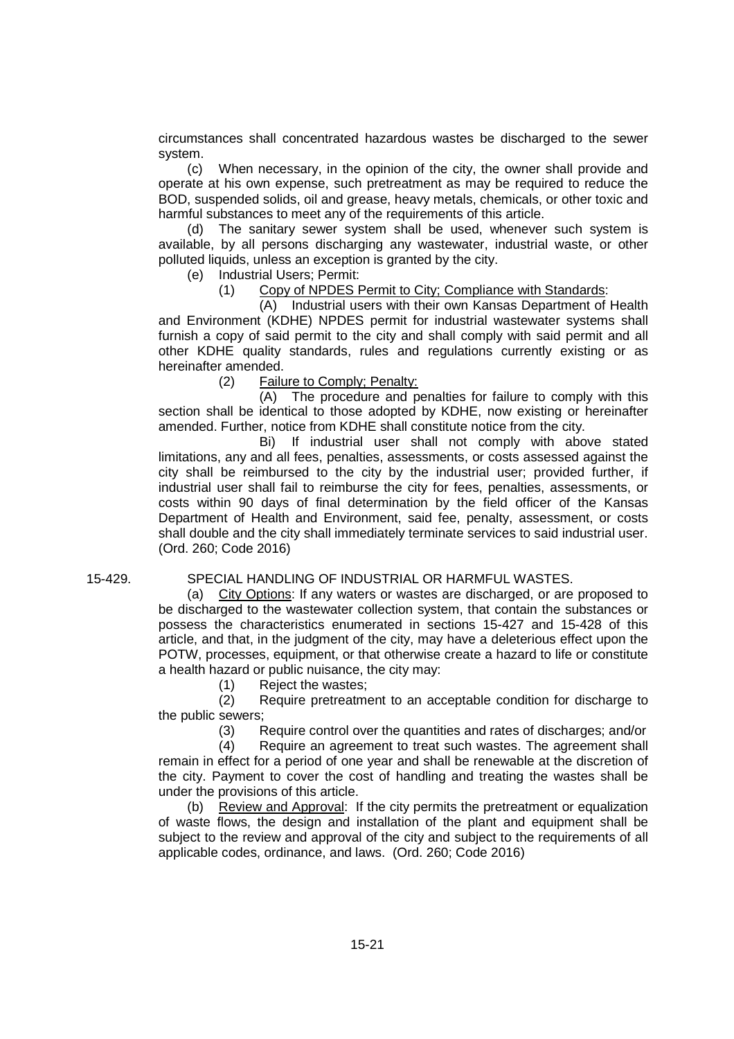circumstances shall concentrated hazardous wastes be discharged to the sewer system.

(c) When necessary, in the opinion of the city, the owner shall provide and operate at his own expense, such pretreatment as may be required to reduce the BOD, suspended solids, oil and grease, heavy metals, chemicals, or other toxic and harmful substances to meet any of the requirements of this article.

(d) The sanitary sewer system shall be used, whenever such system is available, by all persons discharging any wastewater, industrial waste, or other polluted liquids, unless an exception is granted by the city.

(e) Industrial Users; Permit:

(1) Copy of NPDES Permit to City; Compliance with Standards:

(A) Industrial users with their own Kansas Department of Health and Environment (KDHE) NPDES permit for industrial wastewater systems shall furnish a copy of said permit to the city and shall comply with said permit and all other KDHE quality standards, rules and regulations currently existing or as hereinafter amended.

(2) Failure to Comply; Penalty:

(A) The procedure and penalties for failure to comply with this section shall be identical to those adopted by KDHE, now existing or hereinafter amended. Further, notice from KDHE shall constitute notice from the city.

Bi) If industrial user shall not comply with above stated limitations, any and all fees, penalties, assessments, or costs assessed against the city shall be reimbursed to the city by the industrial user; provided further, if industrial user shall fail to reimburse the city for fees, penalties, assessments, or costs within 90 days of final determination by the field officer of the Kansas Department of Health and Environment, said fee, penalty, assessment, or costs shall double and the city shall immediately terminate services to said industrial user. (Ord. 260; Code 2016)

### 15-429. SPECIAL HANDLING OF INDUSTRIAL OR HARMFUL WASTES.

(a) City Options: If any waters or wastes are discharged, or are proposed to be discharged to the wastewater collection system, that contain the substances or possess the characteristics enumerated in sections 15-427 and 15-428 of this article, and that, in the judgment of the city, may have a deleterious effect upon the POTW, processes, equipment, or that otherwise create a hazard to life or constitute a health hazard or public nuisance, the city may:

(1) Reject the wastes;

(2) Require pretreatment to an acceptable condition for discharge to the public sewers;

(3) Require control over the quantities and rates of discharges; and/or

(4) Require an agreement to treat such wastes. The agreement shall remain in effect for a period of one year and shall be renewable at the discretion of the city. Payment to cover the cost of handling and treating the wastes shall be under the provisions of this article.

(b) Review and Approval: If the city permits the pretreatment or equalization of waste flows, the design and installation of the plant and equipment shall be subject to the review and approval of the city and subject to the requirements of all applicable codes, ordinance, and laws. (Ord. 260; Code 2016)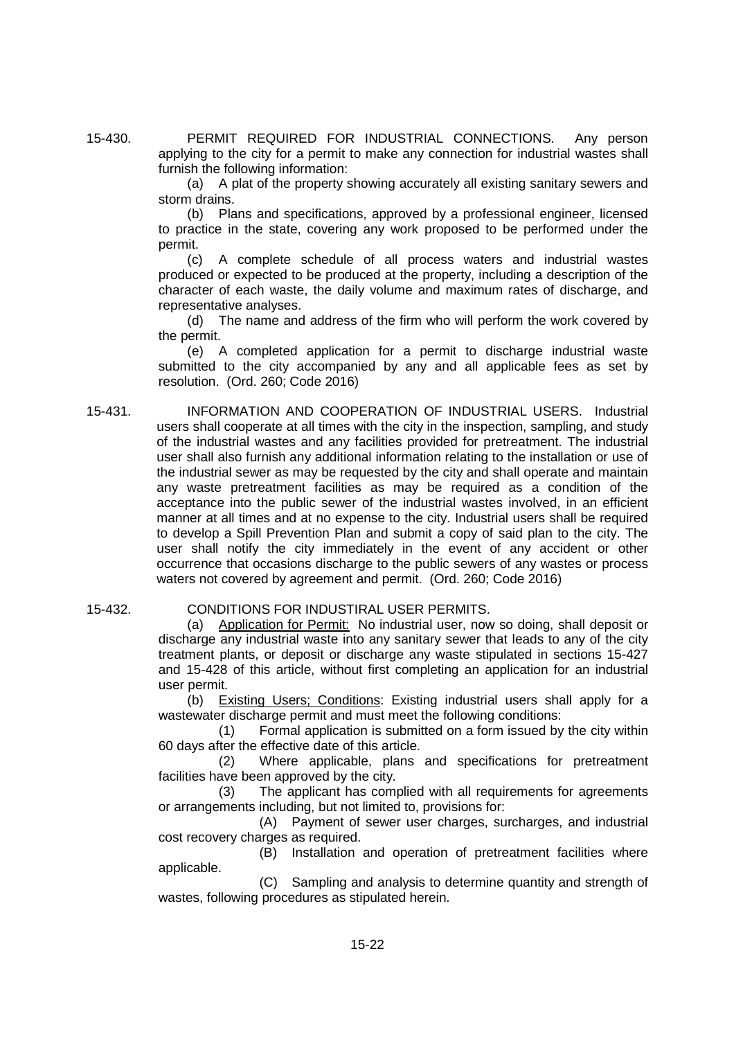15-430. PERMIT REQUIRED FOR INDUSTRIAL CONNECTIONS. Any person applying to the city for a permit to make any connection for industrial wastes shall furnish the following information:

> (a) A plat of the property showing accurately all existing sanitary sewers and storm drains.

> (b) Plans and specifications, approved by a professional engineer, licensed to practice in the state, covering any work proposed to be performed under the permit.

> (c) A complete schedule of all process waters and industrial wastes produced or expected to be produced at the property, including a description of the character of each waste, the daily volume and maximum rates of discharge, and representative analyses.

> (d) The name and address of the firm who will perform the work covered by the permit.

> (e) A completed application for a permit to discharge industrial waste submitted to the city accompanied by any and all applicable fees as set by resolution. (Ord. 260; Code 2016)

- 15-431. INFORMATION AND COOPERATION OF INDUSTRIAL USERS. Industrial users shall cooperate at all times with the city in the inspection, sampling, and study of the industrial wastes and any facilities provided for pretreatment. The industrial user shall also furnish any additional information relating to the installation or use of the industrial sewer as may be requested by the city and shall operate and maintain any waste pretreatment facilities as may be required as a condition of the acceptance into the public sewer of the industrial wastes involved, in an efficient manner at all times and at no expense to the city. Industrial users shall be required to develop a Spill Prevention Plan and submit a copy of said plan to the city. The user shall notify the city immediately in the event of any accident or other occurrence that occasions discharge to the public sewers of any wastes or process waters not covered by agreement and permit. (Ord. 260; Code 2016)
- 

#### 15-432. CONDITIONS FOR INDUSTIRAL USER PERMITS.

(a) Application for Permit: No industrial user, now so doing, shall deposit or discharge any industrial waste into any sanitary sewer that leads to any of the city treatment plants, or deposit or discharge any waste stipulated in sections 15-427 and 15-428 of this article, without first completing an application for an industrial user permit.

(b) Existing Users; Conditions: Existing industrial users shall apply for a wastewater discharge permit and must meet the following conditions:

(1) Formal application is submitted on a form issued by the city within 60 days after the effective date of this article.

(2) Where applicable, plans and specifications for pretreatment facilities have been approved by the city.

(3) The applicant has complied with all requirements for agreements or arrangements including, but not limited to, provisions for:

(A) Payment of sewer user charges, surcharges, and industrial cost recovery charges as required.

(B) Installation and operation of pretreatment facilities where applicable.

(C) Sampling and analysis to determine quantity and strength of wastes, following procedures as stipulated herein.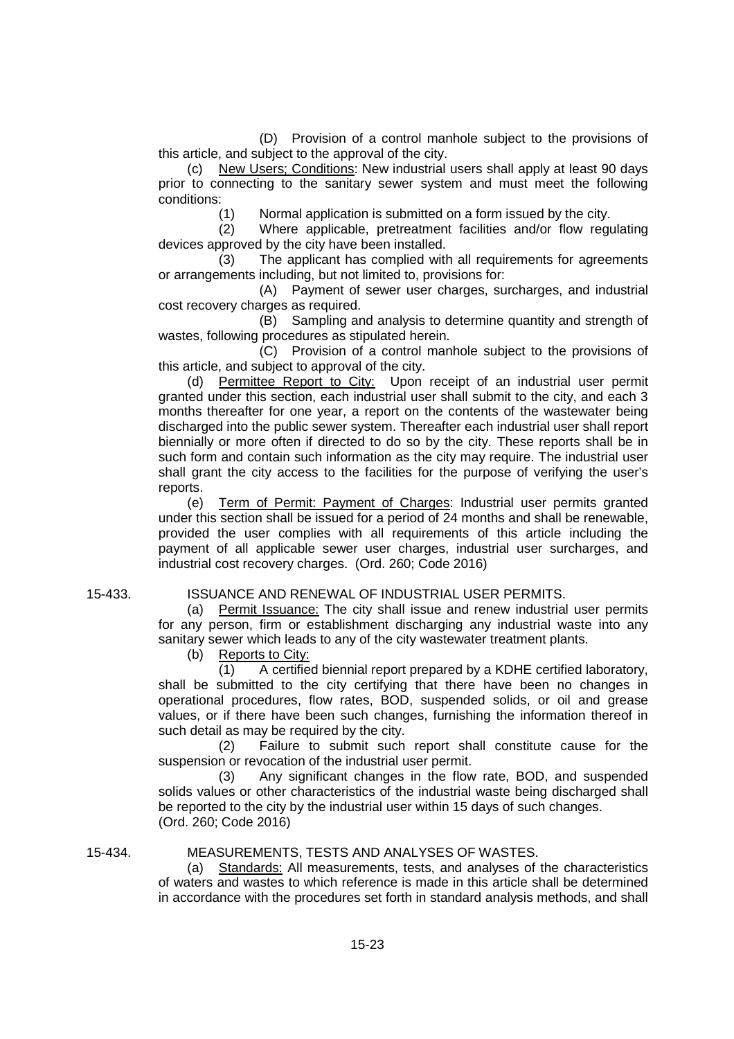(D) Provision of a control manhole subject to the provisions of this article, and subject to the approval of the city.

(c) New Users; Conditions: New industrial users shall apply at least 90 days prior to connecting to the sanitary sewer system and must meet the following conditions:

(1) Normal application is submitted on a form issued by the city.

(2) Where applicable, pretreatment facilities and/or flow regulating devices approved by the city have been installed.

(3) The applicant has complied with all requirements for agreements or arrangements including, but not limited to, provisions for:

(A) Payment of sewer user charges, surcharges, and industrial cost recovery charges as required.

(B) Sampling and analysis to determine quantity and strength of wastes, following procedures as stipulated herein.

(C) Provision of a control manhole subject to the provisions of this article, and subject to approval of the city.

(d) Permittee Report to City: Upon receipt of an industrial user permit granted under this section, each industrial user shall submit to the city, and each 3 months thereafter for one year, a report on the contents of the wastewater being discharged into the public sewer system. Thereafter each industrial user shall report biennially or more often if directed to do so by the city. These reports shall be in such form and contain such information as the city may require. The industrial user shall grant the city access to the facilities for the purpose of verifying the user's reports.

(e) Term of Permit: Payment of Charges: Industrial user permits granted under this section shall be issued for a period of 24 months and shall be renewable, provided the user complies with all requirements of this article including the payment of all applicable sewer user charges, industrial user surcharges, and industrial cost recovery charges. (Ord. 260; Code 2016)

#### 15-433. ISSUANCE AND RENEWAL OF INDUSTRIAL USER PERMITS.

(a) Permit Issuance: The city shall issue and renew industrial user permits for any person, firm or establishment discharging any industrial waste into any sanitary sewer which leads to any of the city wastewater treatment plants.

(b) Reports to City:

(1) A certified biennial report prepared by a KDHE certified laboratory, shall be submitted to the city certifying that there have been no changes in operational procedures, flow rates, BOD, suspended solids, or oil and grease values, or if there have been such changes, furnishing the information thereof in such detail as may be required by the city.

(2) Failure to submit such report shall constitute cause for the suspension or revocation of the industrial user permit.

(3) Any significant changes in the flow rate, BOD, and suspended solids values or other characteristics of the industrial waste being discharged shall be reported to the city by the industrial user within 15 days of such changes. (Ord. 260; Code 2016)

#### 15-434. MEASUREMENTS, TESTS AND ANALYSES OF WASTES.

(a) Standards: All measurements, tests, and analyses of the characteristics of waters and wastes to which reference is made in this article shall be determined in accordance with the procedures set forth in standard analysis methods, and shall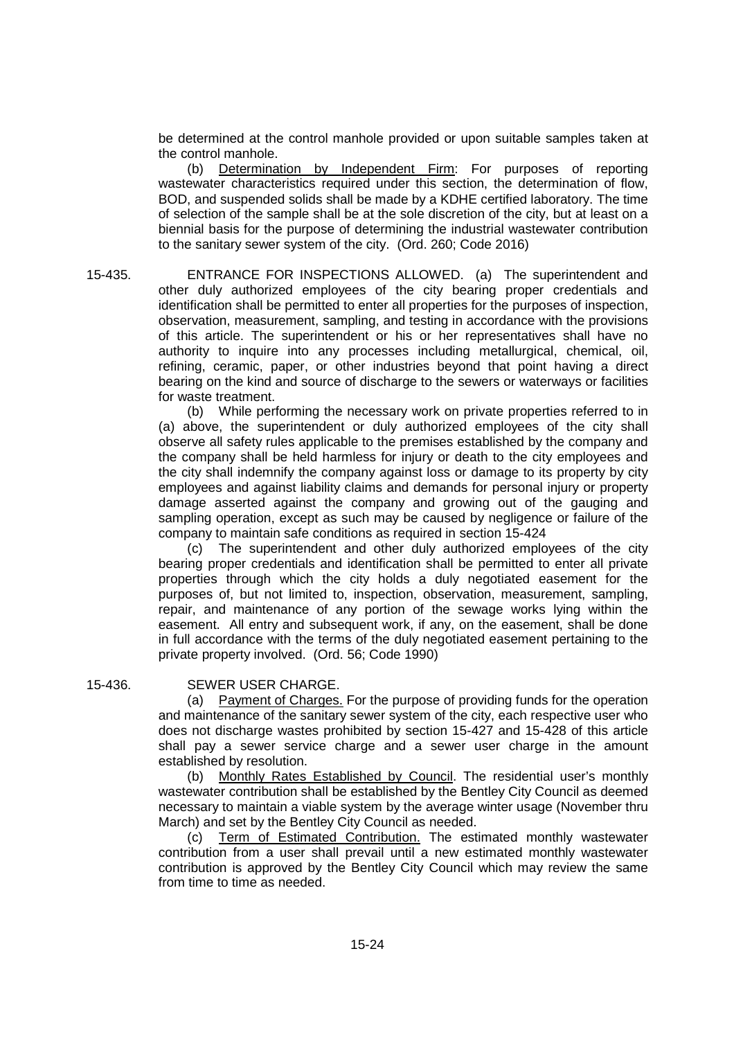be determined at the control manhole provided or upon suitable samples taken at the control manhole.

(b) Determination by Independent Firm: For purposes of reporting wastewater characteristics required under this section, the determination of flow, BOD, and suspended solids shall be made by a KDHE certified laboratory. The time of selection of the sample shall be at the sole discretion of the city, but at least on a biennial basis for the purpose of determining the industrial wastewater contribution to the sanitary sewer system of the city. (Ord. 260; Code 2016)

15-435. ENTRANCE FOR INSPECTIONS ALLOWED. (a) The superintendent and other duly authorized employees of the city bearing proper credentials and identification shall be permitted to enter all properties for the purposes of inspection, observation, measurement, sampling, and testing in accordance with the provisions of this article. The superintendent or his or her representatives shall have no authority to inquire into any processes including metallurgical, chemical, oil, refining, ceramic, paper, or other industries beyond that point having a direct bearing on the kind and source of discharge to the sewers or waterways or facilities for waste treatment.

(b) While performing the necessary work on private properties referred to in (a) above, the superintendent or duly authorized employees of the city shall observe all safety rules applicable to the premises established by the company and the company shall be held harmless for injury or death to the city employees and the city shall indemnify the company against loss or damage to its property by city employees and against liability claims and demands for personal injury or property damage asserted against the company and growing out of the gauging and sampling operation, except as such may be caused by negligence or failure of the company to maintain safe conditions as required in section 15-424

(c) The superintendent and other duly authorized employees of the city bearing proper credentials and identification shall be permitted to enter all private properties through which the city holds a duly negotiated easement for the purposes of, but not limited to, inspection, observation, measurement, sampling, repair, and maintenance of any portion of the sewage works lying within the easement. All entry and subsequent work, if any, on the easement, shall be done in full accordance with the terms of the duly negotiated easement pertaining to the private property involved. (Ord. 56; Code 1990)

#### 15-436. SEWER USER CHARGE.

(a) Payment of Charges. For the purpose of providing funds for the operation and maintenance of the sanitary sewer system of the city, each respective user who does not discharge wastes prohibited by section 15-427 and 15-428 of this article shall pay a sewer service charge and a sewer user charge in the amount established by resolution.

(b) Monthly Rates Established by Council. The residential user's monthly wastewater contribution shall be established by the Bentley City Council as deemed necessary to maintain a viable system by the average winter usage (November thru March) and set by the Bentley City Council as needed.

(c) Term of Estimated Contribution. The estimated monthly wastewater contribution from a user shall prevail until a new estimated monthly wastewater contribution is approved by the Bentley City Council which may review the same from time to time as needed.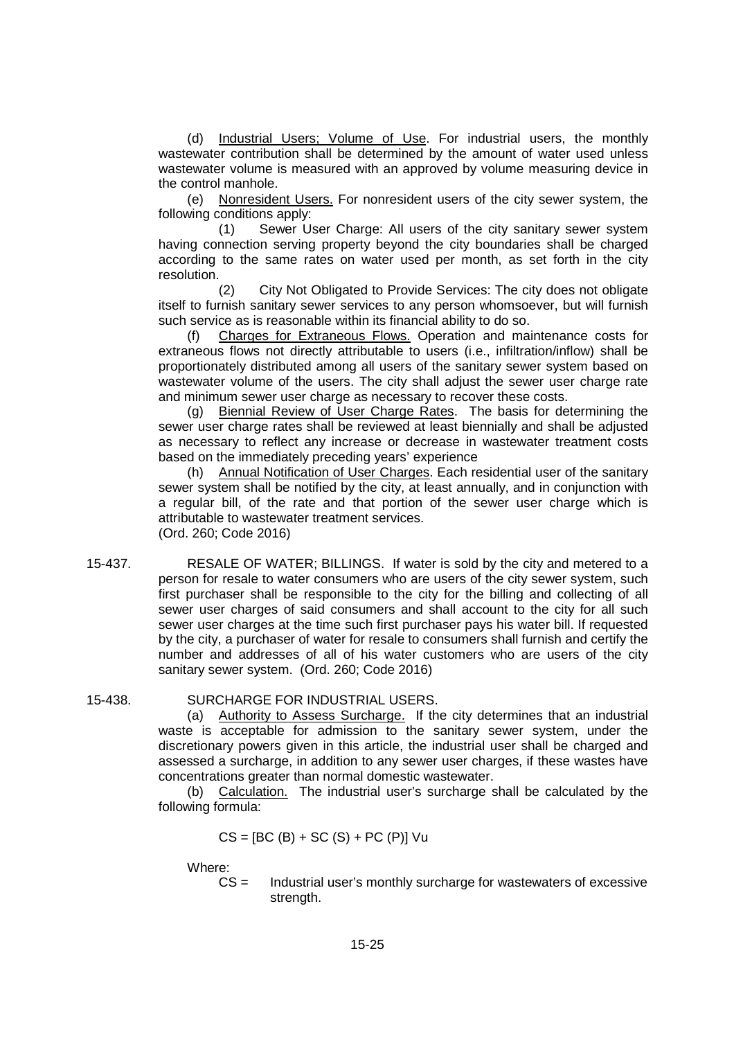(d) Industrial Users; Volume of Use. For industrial users, the monthly wastewater contribution shall be determined by the amount of water used unless wastewater volume is measured with an approved by volume measuring device in the control manhole.

(e) Nonresident Users. For nonresident users of the city sewer system, the following conditions apply:

(1) Sewer User Charge: All users of the city sanitary sewer system having connection serving property beyond the city boundaries shall be charged according to the same rates on water used per month, as set forth in the city resolution.

(2) City Not Obligated to Provide Services: The city does not obligate itself to furnish sanitary sewer services to any person whomsoever, but will furnish such service as is reasonable within its financial ability to do so.

(f) Charges for Extraneous Flows. Operation and maintenance costs for extraneous flows not directly attributable to users (i.e., infiltration/inflow) shall be proportionately distributed among all users of the sanitary sewer system based on wastewater volume of the users. The city shall adjust the sewer user charge rate and minimum sewer user charge as necessary to recover these costs.

(g) Biennial Review of User Charge Rates. The basis for determining the sewer user charge rates shall be reviewed at least biennially and shall be adjusted as necessary to reflect any increase or decrease in wastewater treatment costs based on the immediately preceding years' experience

(h) Annual Notification of User Charges. Each residential user of the sanitary sewer system shall be notified by the city, at least annually, and in conjunction with a regular bill, of the rate and that portion of the sewer user charge which is attributable to wastewater treatment services. (Ord. 260; Code 2016)

15-437. RESALE OF WATER; BILLINGS. If water is sold by the city and metered to a person for resale to water consumers who are users of the city sewer system, such first purchaser shall be responsible to the city for the billing and collecting of all sewer user charges of said consumers and shall account to the city for all such sewer user charges at the time such first purchaser pays his water bill. If requested by the city, a purchaser of water for resale to consumers shall furnish and certify the number and addresses of all of his water customers who are users of the city sanitary sewer system. (Ord. 260; Code 2016)

### 15-438. SURCHARGE FOR INDUSTRIAL USERS.

(a) Authority to Assess Surcharge. If the city determines that an industrial waste is acceptable for admission to the sanitary sewer system, under the discretionary powers given in this article, the industrial user shall be charged and assessed a surcharge, in addition to any sewer user charges, if these wastes have concentrations greater than normal domestic wastewater.

(b) Calculation. The industrial user's surcharge shall be calculated by the following formula:

$$
CS = [BC (B) + SC (S) + PC (P)]
$$
 Vu

Where:

CS = Industrial user's monthly surcharge for wastewaters of excessive strength.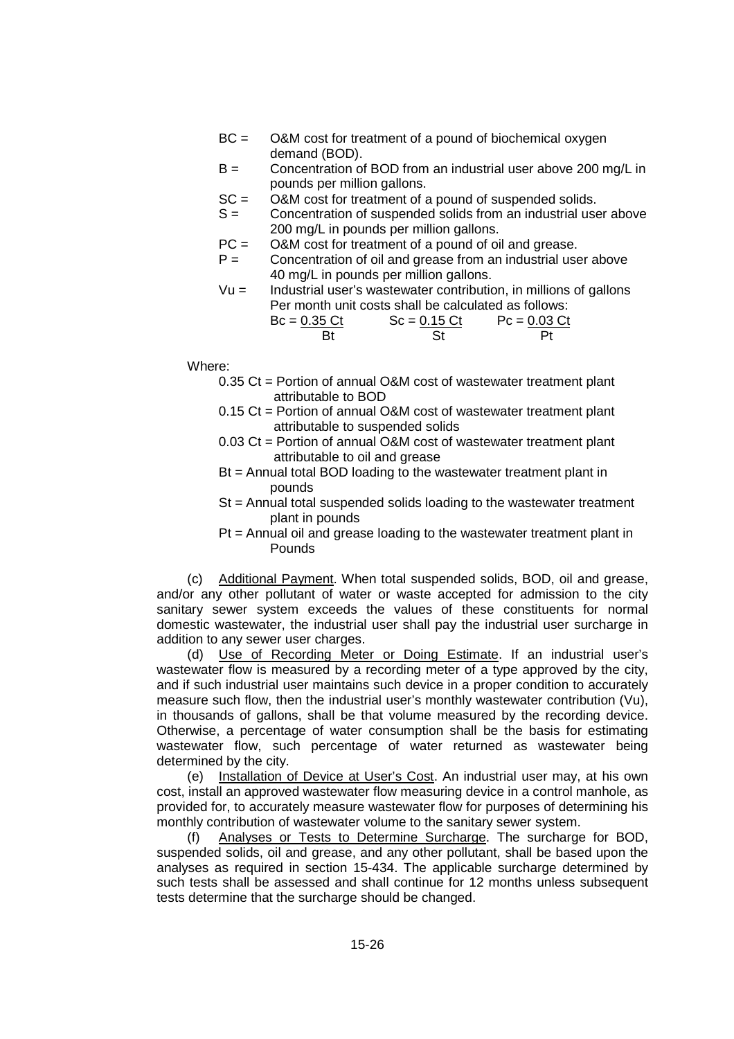- BC = O&M cost for treatment of a pound of biochemical oxygen demand (BOD).
- B = Concentration of BOD from an industrial user above 200 mg/L in pounds per million gallons.
- SC = O&M cost for treatment of a pound of suspended solids.
- S = Concentration of suspended solids from an industrial user above 200 mg/L in pounds per million gallons.
- PC = O&M cost for treatment of a pound of oil and grease.
- $P =$  Concentration of oil and grease from an industrial user above 40 mg/L in pounds per million gallons.
- $Vu =$  Industrial user's wastewater contribution, in millions of gallons Per month unit costs shall be calculated as follows:

| $Bc = 0.35$ Ct | $Sc = 0.15 \, Ct$ | $Pc = 0.03$ Ct |
|----------------|-------------------|----------------|
|                |                   |                |

Where:

- 0.35 Ct = Portion of annual O&M cost of wastewater treatment plant attributable to BOD
- 0.15 Ct = Portion of annual O&M cost of wastewater treatment plant attributable to suspended solids
- 0.03 Ct = Portion of annual O&M cost of wastewater treatment plant attributable to oil and grease
- Bt = Annual total BOD loading to the wastewater treatment plant in pounds
- St = Annual total suspended solids loading to the wastewater treatment plant in pounds
- Pt = Annual oil and grease loading to the wastewater treatment plant in Pounds

(c) Additional Payment. When total suspended solids, BOD, oil and grease, and/or any other pollutant of water or waste accepted for admission to the city sanitary sewer system exceeds the values of these constituents for normal domestic wastewater, the industrial user shall pay the industrial user surcharge in addition to any sewer user charges.

(d) Use of Recording Meter or Doing Estimate. If an industrial user's wastewater flow is measured by a recording meter of a type approved by the city, and if such industrial user maintains such device in a proper condition to accurately measure such flow, then the industrial user's monthly wastewater contribution (Vu), in thousands of gallons, shall be that volume measured by the recording device. Otherwise, a percentage of water consumption shall be the basis for estimating wastewater flow, such percentage of water returned as wastewater being determined by the city.

(e) Installation of Device at User's Cost. An industrial user may, at his own cost, install an approved wastewater flow measuring device in a control manhole, as provided for, to accurately measure wastewater flow for purposes of determining his monthly contribution of wastewater volume to the sanitary sewer system.

Analyses or Tests to Determine Surcharge. The surcharge for BOD, suspended solids, oil and grease, and any other pollutant, shall be based upon the analyses as required in section 15-434. The applicable surcharge determined by such tests shall be assessed and shall continue for 12 months unless subsequent tests determine that the surcharge should be changed.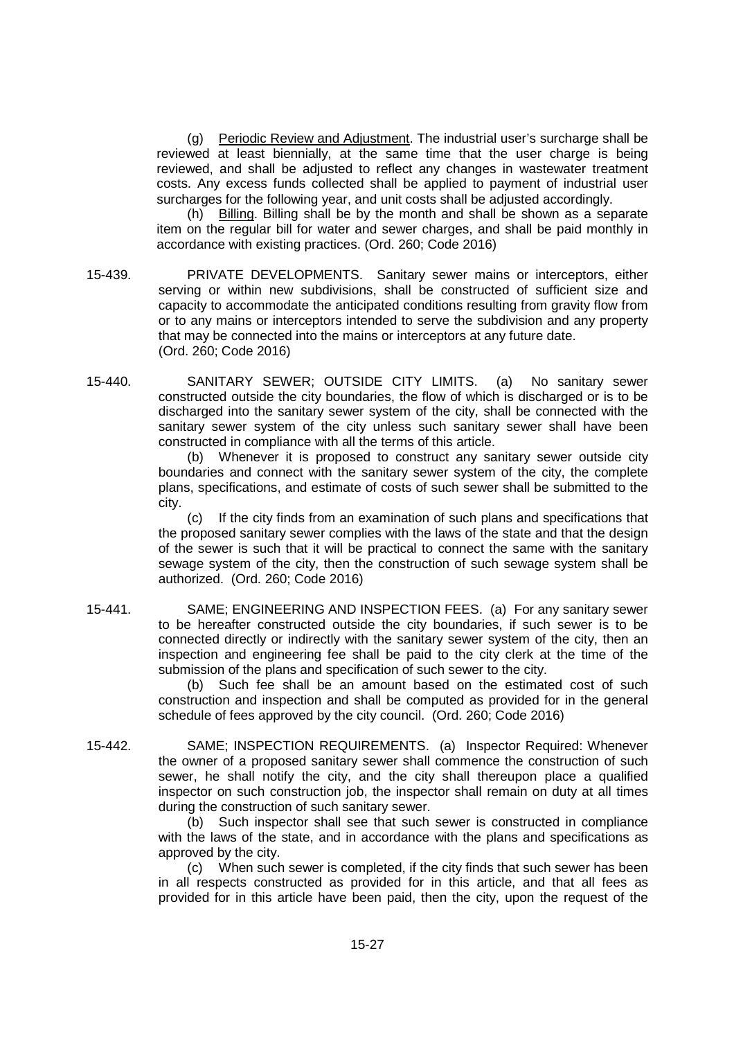(g) Periodic Review and Adjustment. The industrial user's surcharge shall be reviewed at least biennially, at the same time that the user charge is being reviewed, and shall be adjusted to reflect any changes in wastewater treatment costs. Any excess funds collected shall be applied to payment of industrial user surcharges for the following year, and unit costs shall be adjusted accordingly.

(h) Billing. Billing shall be by the month and shall be shown as a separate item on the regular bill for water and sewer charges, and shall be paid monthly in accordance with existing practices. (Ord. 260; Code 2016)

- 15-439. PRIVATE DEVELOPMENTS. Sanitary sewer mains or interceptors, either serving or within new subdivisions, shall be constructed of sufficient size and capacity to accommodate the anticipated conditions resulting from gravity flow from or to any mains or interceptors intended to serve the subdivision and any property that may be connected into the mains or interceptors at any future date. (Ord. 260; Code 2016)
- 15-440. SANITARY SEWER; OUTSIDE CITY LIMITS. (a) No sanitary sewer constructed outside the city boundaries, the flow of which is discharged or is to be discharged into the sanitary sewer system of the city, shall be connected with the sanitary sewer system of the city unless such sanitary sewer shall have been constructed in compliance with all the terms of this article.

(b) Whenever it is proposed to construct any sanitary sewer outside city boundaries and connect with the sanitary sewer system of the city, the complete plans, specifications, and estimate of costs of such sewer shall be submitted to the city.

(c) If the city finds from an examination of such plans and specifications that the proposed sanitary sewer complies with the laws of the state and that the design of the sewer is such that it will be practical to connect the same with the sanitary sewage system of the city, then the construction of such sewage system shall be authorized. (Ord. 260; Code 2016)

15-441. SAME; ENGINEERING AND INSPECTION FEES. (a) For any sanitary sewer to be hereafter constructed outside the city boundaries, if such sewer is to be connected directly or indirectly with the sanitary sewer system of the city, then an inspection and engineering fee shall be paid to the city clerk at the time of the submission of the plans and specification of such sewer to the city.

> Such fee shall be an amount based on the estimated cost of such construction and inspection and shall be computed as provided for in the general schedule of fees approved by the city council. (Ord. 260; Code 2016)

15-442. SAME; INSPECTION REQUIREMENTS. (a) Inspector Required: Whenever the owner of a proposed sanitary sewer shall commence the construction of such sewer, he shall notify the city, and the city shall thereupon place a qualified inspector on such construction job, the inspector shall remain on duty at all times during the construction of such sanitary sewer.

(b) Such inspector shall see that such sewer is constructed in compliance with the laws of the state, and in accordance with the plans and specifications as approved by the city.

(c) When such sewer is completed, if the city finds that such sewer has been in all respects constructed as provided for in this article, and that all fees as provided for in this article have been paid, then the city, upon the request of the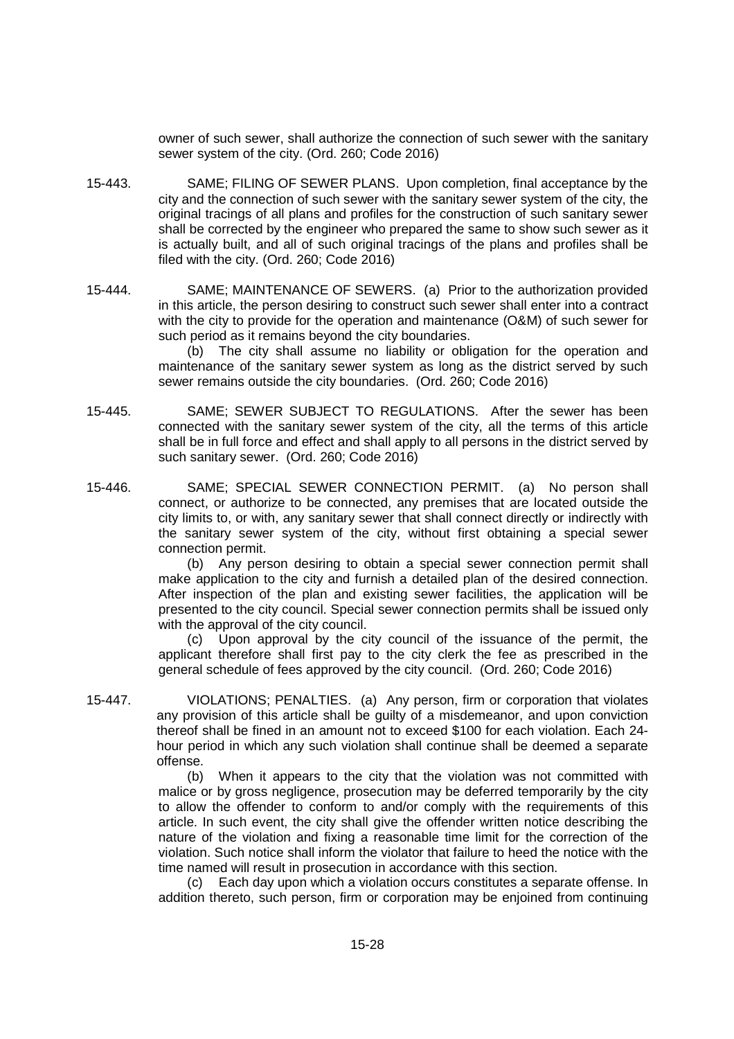owner of such sewer, shall authorize the connection of such sewer with the sanitary sewer system of the city. (Ord. 260; Code 2016)

- 15-443. SAME; FILING OF SEWER PLANS. Upon completion, final acceptance by the city and the connection of such sewer with the sanitary sewer system of the city, the original tracings of all plans and profiles for the construction of such sanitary sewer shall be corrected by the engineer who prepared the same to show such sewer as it is actually built, and all of such original tracings of the plans and profiles shall be filed with the city. (Ord. 260; Code 2016)
- 15-444. SAME; MAINTENANCE OF SEWERS. (a) Prior to the authorization provided in this article, the person desiring to construct such sewer shall enter into a contract with the city to provide for the operation and maintenance (O&M) of such sewer for such period as it remains beyond the city boundaries.

(b) The city shall assume no liability or obligation for the operation and maintenance of the sanitary sewer system as long as the district served by such sewer remains outside the city boundaries. (Ord. 260; Code 2016)

- 15-445. SAME; SEWER SUBJECT TO REGULATIONS. After the sewer has been connected with the sanitary sewer system of the city, all the terms of this article shall be in full force and effect and shall apply to all persons in the district served by such sanitary sewer. (Ord. 260; Code 2016)
- 15-446. SAME; SPECIAL SEWER CONNECTION PERMIT. (a) No person shall connect, or authorize to be connected, any premises that are located outside the city limits to, or with, any sanitary sewer that shall connect directly or indirectly with the sanitary sewer system of the city, without first obtaining a special sewer connection permit.

(b) Any person desiring to obtain a special sewer connection permit shall make application to the city and furnish a detailed plan of the desired connection. After inspection of the plan and existing sewer facilities, the application will be presented to the city council. Special sewer connection permits shall be issued only with the approval of the city council.

(c) Upon approval by the city council of the issuance of the permit, the applicant therefore shall first pay to the city clerk the fee as prescribed in the general schedule of fees approved by the city council. (Ord. 260; Code 2016)

15-447. VIOLATIONS; PENALTIES. (a) Any person, firm or corporation that violates any provision of this article shall be guilty of a misdemeanor, and upon conviction thereof shall be fined in an amount not to exceed \$100 for each violation. Each 24 hour period in which any such violation shall continue shall be deemed a separate offense.

> (b) When it appears to the city that the violation was not committed with malice or by gross negligence, prosecution may be deferred temporarily by the city to allow the offender to conform to and/or comply with the requirements of this article. In such event, the city shall give the offender written notice describing the nature of the violation and fixing a reasonable time limit for the correction of the violation. Such notice shall inform the violator that failure to heed the notice with the time named will result in prosecution in accordance with this section.

> (c) Each day upon which a violation occurs constitutes a separate offense. In addition thereto, such person, firm or corporation may be enjoined from continuing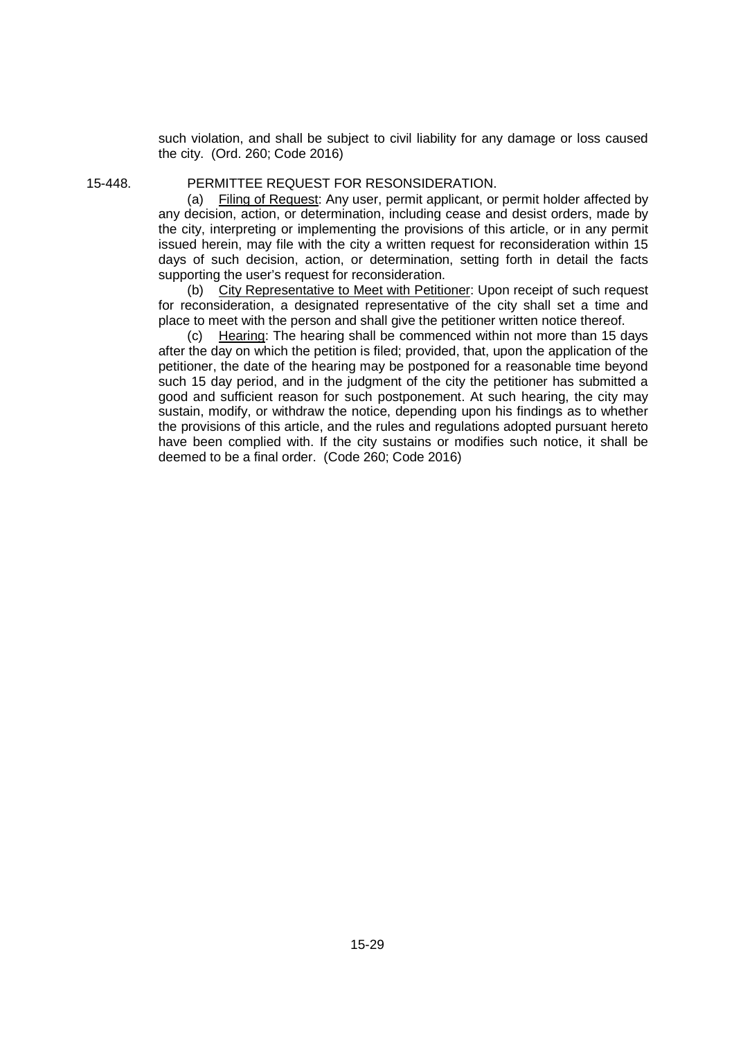such violation, and shall be subject to civil liability for any damage or loss caused the city. (Ord. 260; Code 2016)

#### 15-448. PERMITTEE REQUEST FOR RESONSIDERATION.

(a) Filing of Request: Any user, permit applicant, or permit holder affected by any decision, action, or determination, including cease and desist orders, made by the city, interpreting or implementing the provisions of this article, or in any permit issued herein, may file with the city a written request for reconsideration within 15 days of such decision, action, or determination, setting forth in detail the facts supporting the user's request for reconsideration.

(b) City Representative to Meet with Petitioner: Upon receipt of such request for reconsideration, a designated representative of the city shall set a time and place to meet with the person and shall give the petitioner written notice thereof.

(c) Hearing: The hearing shall be commenced within not more than 15 days after the day on which the petition is filed; provided, that, upon the application of the petitioner, the date of the hearing may be postponed for a reasonable time beyond such 15 day period, and in the judgment of the city the petitioner has submitted a good and sufficient reason for such postponement. At such hearing, the city may sustain, modify, or withdraw the notice, depending upon his findings as to whether the provisions of this article, and the rules and regulations adopted pursuant hereto have been complied with. If the city sustains or modifies such notice, it shall be deemed to be a final order. (Code 260; Code 2016)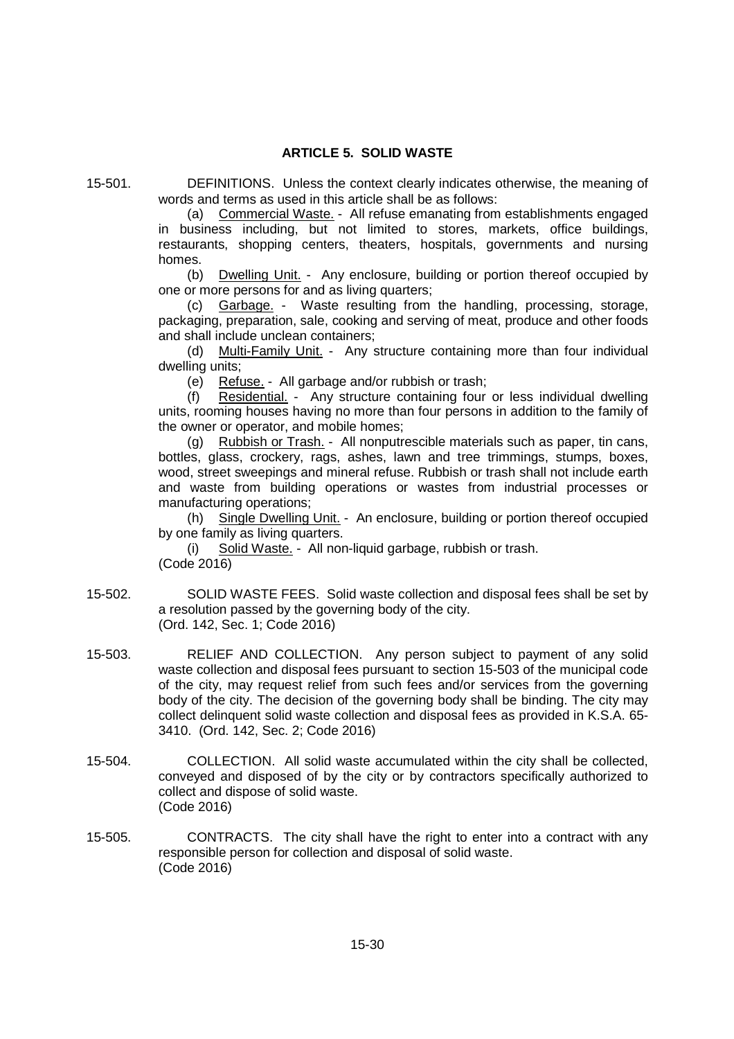# **ARTICLE 5. SOLID WASTE**

15-501. DEFINITIONS. Unless the context clearly indicates otherwise, the meaning of words and terms as used in this article shall be as follows:

(a) Commercial Waste. - All refuse emanating from establishments engaged in business including, but not limited to stores, markets, office buildings, restaurants, shopping centers, theaters, hospitals, governments and nursing homes.

(b) Dwelling Unit. - Any enclosure, building or portion thereof occupied by one or more persons for and as living quarters;

(c) Garbage. - Waste resulting from the handling, processing, storage, packaging, preparation, sale, cooking and serving of meat, produce and other foods and shall include unclean containers;

(d) Multi-Family Unit. - Any structure containing more than four individual dwelling units;

(e) Refuse. - All garbage and/or rubbish or trash;

(f) Residential. - Any structure containing four or less individual dwelling units, rooming houses having no more than four persons in addition to the family of the owner or operator, and mobile homes;

(g) Rubbish or Trash. - All nonputrescible materials such as paper, tin cans, bottles, glass, crockery, rags, ashes, lawn and tree trimmings, stumps, boxes, wood, street sweepings and mineral refuse. Rubbish or trash shall not include earth and waste from building operations or wastes from industrial processes or manufacturing operations;

(h) Single Dwelling Unit. - An enclosure, building or portion thereof occupied by one family as living quarters.

(i) Solid Waste. - All non-liquid garbage, rubbish or trash. (Code 2016)

- 15-502. SOLID WASTE FEES. Solid waste collection and disposal fees shall be set by a resolution passed by the governing body of the city. (Ord. 142, Sec. 1; Code 2016)
- 15-503. RELIEF AND COLLECTION. Any person subject to payment of any solid waste collection and disposal fees pursuant to section 15-503 of the municipal code of the city, may request relief from such fees and/or services from the governing body of the city. The decision of the governing body shall be binding. The city may collect delinquent solid waste collection and disposal fees as provided in K.S.A. 65- 3410. (Ord. 142, Sec. 2; Code 2016)
- 15-504. COLLECTION. All solid waste accumulated within the city shall be collected, conveyed and disposed of by the city or by contractors specifically authorized to collect and dispose of solid waste. (Code 2016)
- 15-505. CONTRACTS. The city shall have the right to enter into a contract with any responsible person for collection and disposal of solid waste. (Code 2016)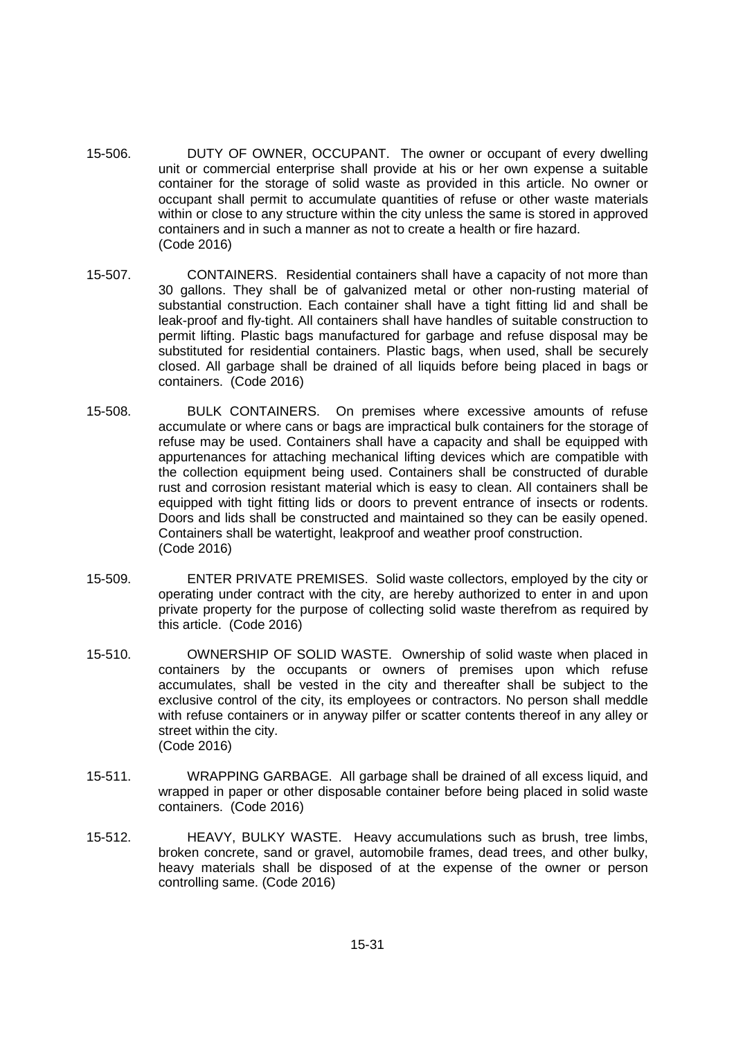- 15-506. DUTY OF OWNER, OCCUPANT. The owner or occupant of every dwelling unit or commercial enterprise shall provide at his or her own expense a suitable container for the storage of solid waste as provided in this article. No owner or occupant shall permit to accumulate quantities of refuse or other waste materials within or close to any structure within the city unless the same is stored in approved containers and in such a manner as not to create a health or fire hazard. (Code 2016)
- 15-507. CONTAINERS. Residential containers shall have a capacity of not more than 30 gallons. They shall be of galvanized metal or other non-rusting material of substantial construction. Each container shall have a tight fitting lid and shall be leak-proof and fly-tight. All containers shall have handles of suitable construction to permit lifting. Plastic bags manufactured for garbage and refuse disposal may be substituted for residential containers. Plastic bags, when used, shall be securely closed. All garbage shall be drained of all liquids before being placed in bags or containers. (Code 2016)
- 15-508. BULK CONTAINERS. On premises where excessive amounts of refuse accumulate or where cans or bags are impractical bulk containers for the storage of refuse may be used. Containers shall have a capacity and shall be equipped with appurtenances for attaching mechanical lifting devices which are compatible with the collection equipment being used. Containers shall be constructed of durable rust and corrosion resistant material which is easy to clean. All containers shall be equipped with tight fitting lids or doors to prevent entrance of insects or rodents. Doors and lids shall be constructed and maintained so they can be easily opened. Containers shall be watertight, leakproof and weather proof construction. (Code 2016)
- 15-509. ENTER PRIVATE PREMISES. Solid waste collectors, employed by the city or operating under contract with the city, are hereby authorized to enter in and upon private property for the purpose of collecting solid waste therefrom as required by this article. (Code 2016)
- 15-510. OWNERSHIP OF SOLID WASTE. Ownership of solid waste when placed in containers by the occupants or owners of premises upon which refuse accumulates, shall be vested in the city and thereafter shall be subject to the exclusive control of the city, its employees or contractors. No person shall meddle with refuse containers or in anyway pilfer or scatter contents thereof in any alley or street within the city. (Code 2016)
- 15-511. WRAPPING GARBAGE. All garbage shall be drained of all excess liquid, and wrapped in paper or other disposable container before being placed in solid waste containers. (Code 2016)
- 15-512. HEAVY, BULKY WASTE. Heavy accumulations such as brush, tree limbs, broken concrete, sand or gravel, automobile frames, dead trees, and other bulky, heavy materials shall be disposed of at the expense of the owner or person controlling same. (Code 2016)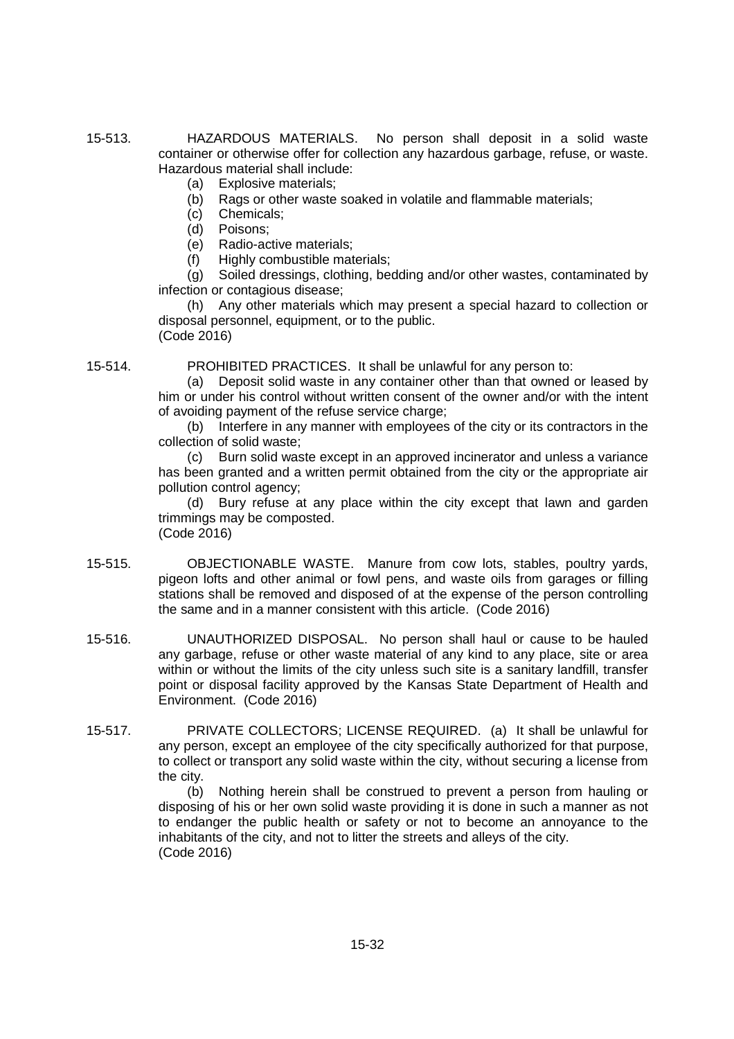- 15-513. HAZARDOUS MATERIALS. No person shall deposit in a solid waste container or otherwise offer for collection any hazardous garbage, refuse, or waste. Hazardous material shall include:
	- (a) Explosive materials;
	- (b) Rags or other waste soaked in volatile and flammable materials;
	- (c) Chemicals;
	- (d) Poisons;
	- (e) Radio-active materials;
	- (f) Highly combustible materials;

(g) Soiled dressings, clothing, bedding and/or other wastes, contaminated by infection or contagious disease;

(h) Any other materials which may present a special hazard to collection or disposal personnel, equipment, or to the public. (Code 2016)

15-514. PROHIBITED PRACTICES. It shall be unlawful for any person to:

(a) Deposit solid waste in any container other than that owned or leased by him or under his control without written consent of the owner and/or with the intent of avoiding payment of the refuse service charge;

(b) Interfere in any manner with employees of the city or its contractors in the collection of solid waste;

(c) Burn solid waste except in an approved incinerator and unless a variance has been granted and a written permit obtained from the city or the appropriate air pollution control agency;

(d) Bury refuse at any place within the city except that lawn and garden trimmings may be composted.

(Code 2016)

- 15-515. OBJECTIONABLE WASTE. Manure from cow lots, stables, poultry yards, pigeon lofts and other animal or fowl pens, and waste oils from garages or filling stations shall be removed and disposed of at the expense of the person controlling the same and in a manner consistent with this article. (Code 2016)
- 15-516. UNAUTHORIZED DISPOSAL. No person shall haul or cause to be hauled any garbage, refuse or other waste material of any kind to any place, site or area within or without the limits of the city unless such site is a sanitary landfill, transfer point or disposal facility approved by the Kansas State Department of Health and Environment. (Code 2016)
- 15-517. PRIVATE COLLECTORS; LICENSE REQUIRED. (a) It shall be unlawful for any person, except an employee of the city specifically authorized for that purpose, to collect or transport any solid waste within the city, without securing a license from the city.

(b) Nothing herein shall be construed to prevent a person from hauling or disposing of his or her own solid waste providing it is done in such a manner as not to endanger the public health or safety or not to become an annoyance to the inhabitants of the city, and not to litter the streets and alleys of the city. (Code 2016)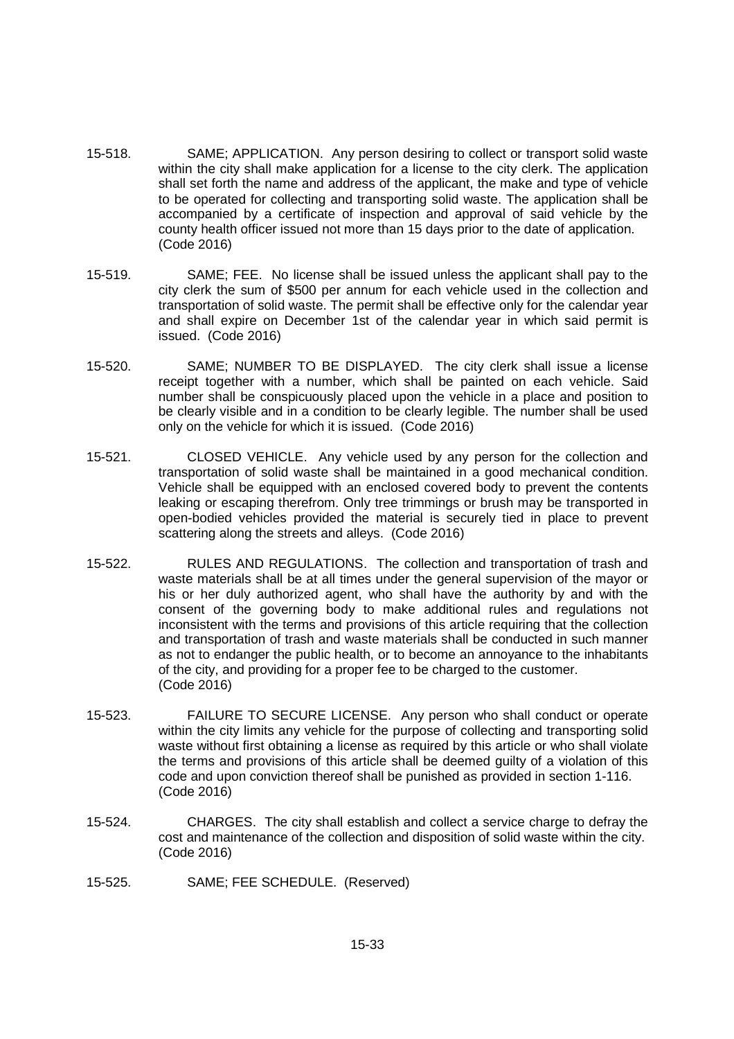- 15-518. SAME; APPLICATION. Any person desiring to collect or transport solid waste within the city shall make application for a license to the city clerk. The application shall set forth the name and address of the applicant, the make and type of vehicle to be operated for collecting and transporting solid waste. The application shall be accompanied by a certificate of inspection and approval of said vehicle by the county health officer issued not more than 15 days prior to the date of application. (Code 2016)
- 15-519. SAME; FEE. No license shall be issued unless the applicant shall pay to the city clerk the sum of \$500 per annum for each vehicle used in the collection and transportation of solid waste. The permit shall be effective only for the calendar year and shall expire on December 1st of the calendar year in which said permit is issued. (Code 2016)
- 15-520. SAME; NUMBER TO BE DISPLAYED. The city clerk shall issue a license receipt together with a number, which shall be painted on each vehicle. Said number shall be conspicuously placed upon the vehicle in a place and position to be clearly visible and in a condition to be clearly legible. The number shall be used only on the vehicle for which it is issued. (Code 2016)
- 15-521. CLOSED VEHICLE. Any vehicle used by any person for the collection and transportation of solid waste shall be maintained in a good mechanical condition. Vehicle shall be equipped with an enclosed covered body to prevent the contents leaking or escaping therefrom. Only tree trimmings or brush may be transported in open-bodied vehicles provided the material is securely tied in place to prevent scattering along the streets and alleys. (Code 2016)
- 15-522. RULES AND REGULATIONS. The collection and transportation of trash and waste materials shall be at all times under the general supervision of the mayor or his or her duly authorized agent, who shall have the authority by and with the consent of the governing body to make additional rules and regulations not inconsistent with the terms and provisions of this article requiring that the collection and transportation of trash and waste materials shall be conducted in such manner as not to endanger the public health, or to become an annoyance to the inhabitants of the city, and providing for a proper fee to be charged to the customer. (Code 2016)
- 15-523. FAILURE TO SECURE LICENSE. Any person who shall conduct or operate within the city limits any vehicle for the purpose of collecting and transporting solid waste without first obtaining a license as required by this article or who shall violate the terms and provisions of this article shall be deemed guilty of a violation of this code and upon conviction thereof shall be punished as provided in section 1-116. (Code 2016)
- 15-524. CHARGES. The city shall establish and collect a service charge to defray the cost and maintenance of the collection and disposition of solid waste within the city. (Code 2016)
- 15-525. SAME; FEE SCHEDULE. (Reserved)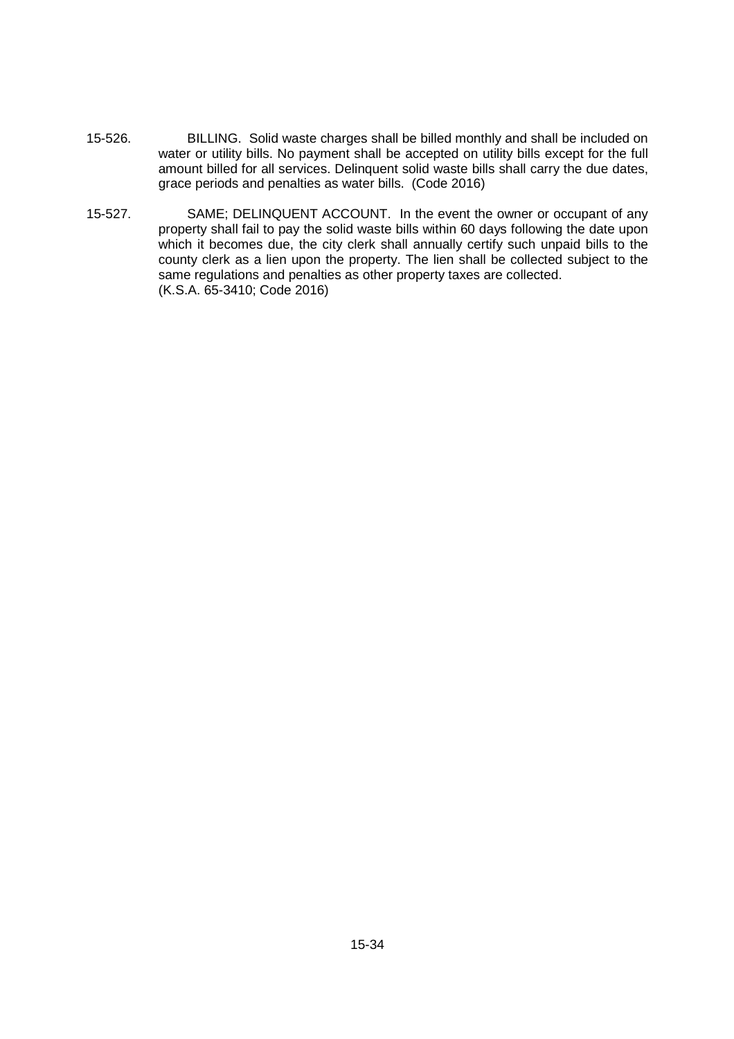- 15-526. BILLING. Solid waste charges shall be billed monthly and shall be included on water or utility bills. No payment shall be accepted on utility bills except for the full amount billed for all services. Delinquent solid waste bills shall carry the due dates, grace periods and penalties as water bills. (Code 2016)
- 15-527. SAME; DELINQUENT ACCOUNT. In the event the owner or occupant of any property shall fail to pay the solid waste bills within 60 days following the date upon which it becomes due, the city clerk shall annually certify such unpaid bills to the county clerk as a lien upon the property. The lien shall be collected subject to the same regulations and penalties as other property taxes are collected. (K.S.A. 65-3410; Code 2016)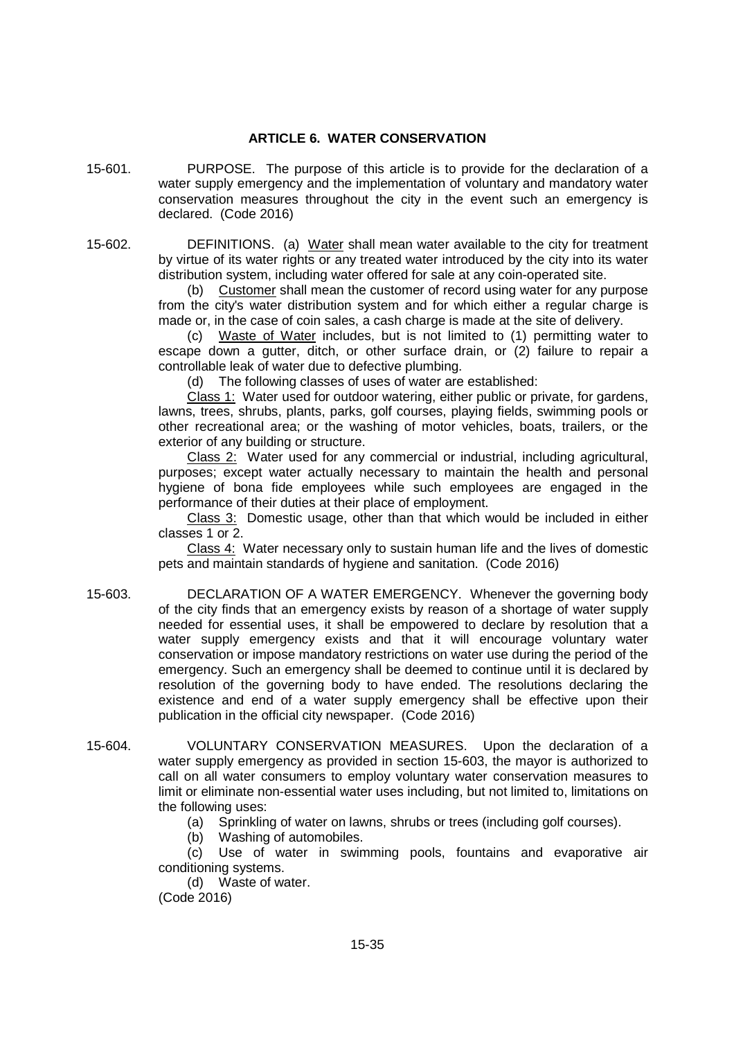### **ARTICLE 6. WATER CONSERVATION**

- 15-601. PURPOSE. The purpose of this article is to provide for the declaration of a water supply emergency and the implementation of voluntary and mandatory water conservation measures throughout the city in the event such an emergency is declared. (Code 2016)
- 15-602. DEFINITIONS. (a) Water shall mean water available to the city for treatment by virtue of its water rights or any treated water introduced by the city into its water distribution system, including water offered for sale at any coin-operated site.

(b) Customer shall mean the customer of record using water for any purpose from the city's water distribution system and for which either a regular charge is made or, in the case of coin sales, a cash charge is made at the site of delivery.

(c) Waste of Water includes, but is not limited to (1) permitting water to escape down a gutter, ditch, or other surface drain, or (2) failure to repair a controllable leak of water due to defective plumbing.

(d) The following classes of uses of water are established:

Class 1: Water used for outdoor watering, either public or private, for gardens, lawns, trees, shrubs, plants, parks, golf courses, playing fields, swimming pools or other recreational area; or the washing of motor vehicles, boats, trailers, or the exterior of any building or structure.

Class 2: Water used for any commercial or industrial, including agricultural, purposes; except water actually necessary to maintain the health and personal hygiene of bona fide employees while such employees are engaged in the performance of their duties at their place of employment.

Class 3: Domestic usage, other than that which would be included in either classes 1 or 2.

Class 4: Water necessary only to sustain human life and the lives of domestic pets and maintain standards of hygiene and sanitation. (Code 2016)

- 15-603. DECLARATION OF A WATER EMERGENCY. Whenever the governing body of the city finds that an emergency exists by reason of a shortage of water supply needed for essential uses, it shall be empowered to declare by resolution that a water supply emergency exists and that it will encourage voluntary water conservation or impose mandatory restrictions on water use during the period of the emergency. Such an emergency shall be deemed to continue until it is declared by resolution of the governing body to have ended. The resolutions declaring the existence and end of a water supply emergency shall be effective upon their publication in the official city newspaper. (Code 2016)
- 15-604. VOLUNTARY CONSERVATION MEASURES. Upon the declaration of a water supply emergency as provided in section 15-603, the mayor is authorized to call on all water consumers to employ voluntary water conservation measures to limit or eliminate non-essential water uses including, but not limited to, limitations on the following uses:
	- (a) Sprinkling of water on lawns, shrubs or trees (including golf courses).

(b) Washing of automobiles.

(c) Use of water in swimming pools, fountains and evaporative air conditioning systems.

(d) Waste of water.

(Code 2016)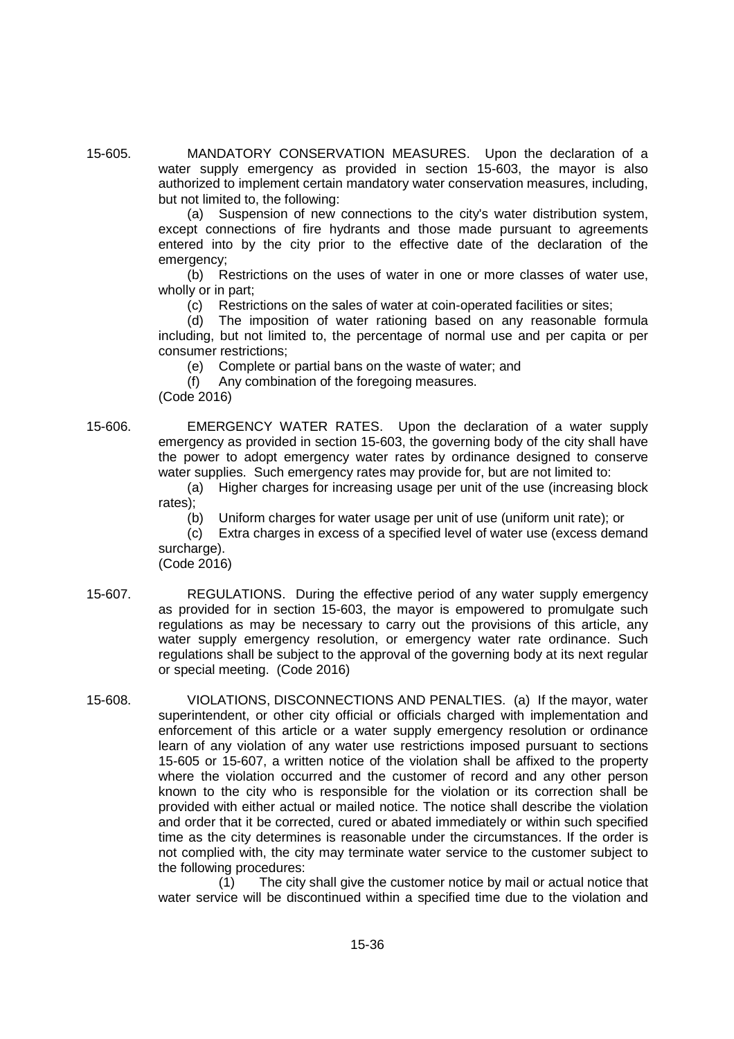15-605. MANDATORY CONSERVATION MEASURES. Upon the declaration of a water supply emergency as provided in section 15-603, the mayor is also authorized to implement certain mandatory water conservation measures, including, but not limited to, the following:

> (a) Suspension of new connections to the city's water distribution system, except connections of fire hydrants and those made pursuant to agreements entered into by the city prior to the effective date of the declaration of the emergency;

> (b) Restrictions on the uses of water in one or more classes of water use, wholly or in part;

(c) Restrictions on the sales of water at coin-operated facilities or sites;

(d) The imposition of water rationing based on any reasonable formula including, but not limited to, the percentage of normal use and per capita or per consumer restrictions;

(e) Complete or partial bans on the waste of water; and

(f) Any combination of the foregoing measures.

(Code 2016)

15-606. EMERGENCY WATER RATES. Upon the declaration of a water supply emergency as provided in section 15-603, the governing body of the city shall have the power to adopt emergency water rates by ordinance designed to conserve water supplies. Such emergency rates may provide for, but are not limited to:

> (a) Higher charges for increasing usage per unit of the use (increasing block rates);

(b) Uniform charges for water usage per unit of use (uniform unit rate); or

(c) Extra charges in excess of a specified level of water use (excess demand surcharge).

(Code 2016)

- 15-607. REGULATIONS. During the effective period of any water supply emergency as provided for in section 15-603, the mayor is empowered to promulgate such regulations as may be necessary to carry out the provisions of this article, any water supply emergency resolution, or emergency water rate ordinance. Such regulations shall be subject to the approval of the governing body at its next regular or special meeting. (Code 2016)
- 15-608. VIOLATIONS, DISCONNECTIONS AND PENALTIES. (a) If the mayor, water superintendent, or other city official or officials charged with implementation and enforcement of this article or a water supply emergency resolution or ordinance learn of any violation of any water use restrictions imposed pursuant to sections 15-605 or 15-607, a written notice of the violation shall be affixed to the property where the violation occurred and the customer of record and any other person known to the city who is responsible for the violation or its correction shall be provided with either actual or mailed notice. The notice shall describe the violation and order that it be corrected, cured or abated immediately or within such specified time as the city determines is reasonable under the circumstances. If the order is not complied with, the city may terminate water service to the customer subject to the following procedures:

(1) The city shall give the customer notice by mail or actual notice that water service will be discontinued within a specified time due to the violation and